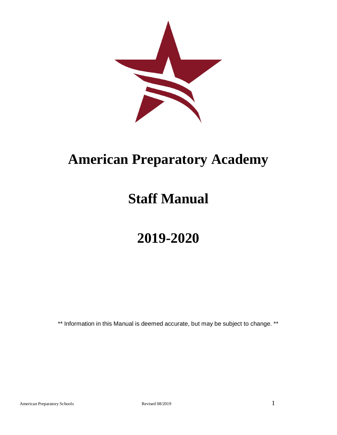

# **American Preparatory Academy**

# **Staff Manual**

# **2019-2020**

\*\* Information in this Manual is deemed accurate, but may be subject to change. \*\*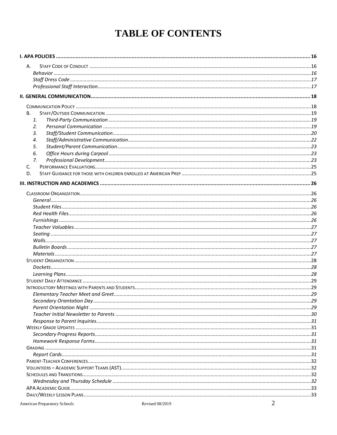## **TABLE OF CONTENTS**

| А.          |  |
|-------------|--|
|             |  |
|             |  |
|             |  |
|             |  |
|             |  |
| В.          |  |
| 1.          |  |
| 2.          |  |
| 3.          |  |
| 4.          |  |
| 5.          |  |
| 6.          |  |
| $Z_{\rm r}$ |  |
| C.          |  |
| D.          |  |
|             |  |
|             |  |
|             |  |
|             |  |
|             |  |
|             |  |
|             |  |
|             |  |
|             |  |
|             |  |
|             |  |
|             |  |
|             |  |
|             |  |
|             |  |
|             |  |
|             |  |
|             |  |
|             |  |
|             |  |
|             |  |
|             |  |
|             |  |
|             |  |
|             |  |
|             |  |
|             |  |
|             |  |
|             |  |
|             |  |
|             |  |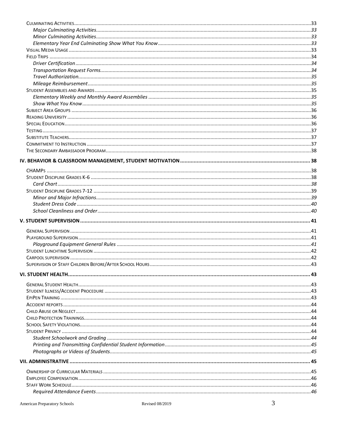| $\bm{True}$ |  |
|-------------|--|
|             |  |
|             |  |
|             |  |
|             |  |
|             |  |
|             |  |
|             |  |
|             |  |
|             |  |
|             |  |
|             |  |
|             |  |
|             |  |
|             |  |
|             |  |
|             |  |
|             |  |
|             |  |
|             |  |
|             |  |
|             |  |
|             |  |
|             |  |
|             |  |
|             |  |
|             |  |
|             |  |
|             |  |
|             |  |
|             |  |
|             |  |
|             |  |
|             |  |
|             |  |
|             |  |
|             |  |
|             |  |
|             |  |
|             |  |
|             |  |
|             |  |
|             |  |
|             |  |
|             |  |
|             |  |
|             |  |
|             |  |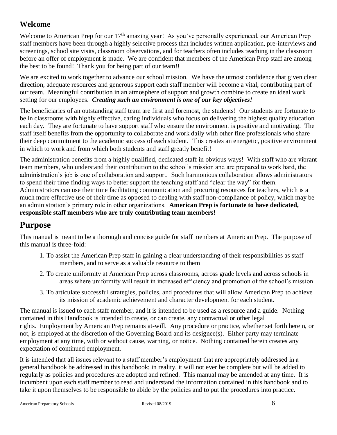### **Welcome**

Welcome to American Prep for our 17<sup>th</sup> amazing year! As you've personally experienced, our American Prep staff members have been through a highly selective process that includes written application, pre-interviews and screenings, school site visits, classroom observations, and for teachers often includes teaching in the classroom before an offer of employment is made. We are confident that members of the American Prep staff are among the best to be found! Thank you for being part of our team!!

We are excited to work together to advance our school mission. We have the utmost confidence that given clear direction, adequate resources and generous support each staff member will become a vital, contributing part of our team. Meaningful contribution in an atmosphere of support and growth combine to create an ideal work setting for our employees. *Creating such an environment is one of our key objectives!*

The beneficiaries of an outstanding staff team are first and foremost, the students! Our students are fortunate to be in classrooms with highly effective, caring individuals who focus on delivering the highest quality education each day. They are fortunate to have support staff who ensure the environment is positive and motivating. The staff itself benefits from the opportunity to collaborate and work daily with other fine professionals who share their deep commitment to the academic success of each student. This creates an energetic, positive environment in which to work and from which both students and staff greatly benefit!

The administration benefits from a highly qualified, dedicated staff in obvious ways! With staff who are vibrant team members, who understand their contribution to the school's mission and are prepared to work hard, the administration's job is one of collaboration and support. Such harmonious collaboration allows administrators to spend their time finding ways to better support the teaching staff and "clear the way" for them. Administrators can use their time facilitating communication and procuring resources for teachers, which is a much more effective use of their time as opposed to dealing with staff non-compliance of policy, which may be an administration's primary role in other organizations. **American Prep is fortunate to have dedicated, responsible staff members who are truly contributing team members!**

## **Purpose**

This manual is meant to be a thorough and concise guide for staff members at American Prep. The purpose of this manual is three-fold:

- 1. To assist the American Prep staff in gaining a clear understanding of their responsibilities as staff members, and to serve as a valuable resource to them
- 2. To create uniformity at American Prep across classrooms, across grade levels and across schools in areas where uniformity will result in increased efficiency and promotion of the school's mission
- 3. To articulate successful strategies, policies, and procedures that will allow American Prep to achieve its mission of academic achievement and character development for each student.

The manual is issued to each staff member, and it is intended to be used as a resource and a guide. Nothing contained in this Handbook is intended to create, or can create, any contractual or other legal rights. Employment by American Prep remains at-will. Any procedure or practice, whether set forth herein, or not, is employed at the discretion of the Governing Board and its designee(s). Either party may terminate employment at any time, with or without cause, warning, or notice. Nothing contained herein creates any expectation of continued employment.

It is intended that all issues relevant to a staff member's employment that are appropriately addressed in a general handbook be addressed in this handbook; in reality, it will not ever be complete but will be added to regularly as policies and procedures are adopted and refined. This manual may be amended at any time. It is incumbent upon each staff member to read and understand the information contained in this handbook and to take it upon themselves to be responsible to abide by the policies and to put the procedures into practice.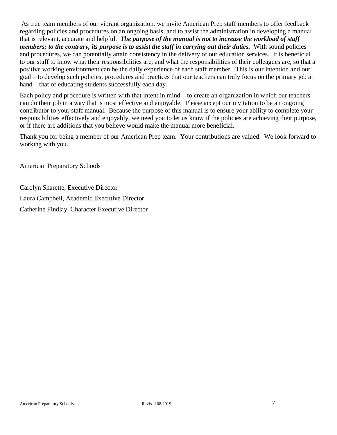As true team members of our vibrant organization, we invite American Prep staff members to offer feedback regarding policies and procedures on an ongoing basis, and to assist the administration in developing a manual that is relevant, accurate and helpful. *The purpose of the manual is not to increase the workload of staff members; to the contrary, its purpose is to assist the staff in carrying out their duties.* With sound policies and procedures, we can potentially attain consistency in the delivery of our education services. It is beneficial to our staff to know what their responsibilities are, and what the responsibilities of their colleagues are, so that a positive working environment can be the daily experience of each staff member. This is our intention and our goal – to develop such policies, procedures and practices that our teachers can truly focus on the primary job at hand – that of educating students successfully each day.

Each policy and procedure is written with that intent in mind – to create an organization in which our teachers can do their job in a way that is most effective and enjoyable. Please accept our invitation to be an ongoing contributor to your staff manual. Because the purpose of this manual is to ensure your ability to complete your responsibilities effectively and enjoyably, we need you to let us know if the policies are achieving their purpose, or if there are additions that you believe would make the manual more beneficial.

Thank you for being a member of our American Prep team. Your contributions are valued. We look forward to working with you.

American Preparatory Schools

Carolyn Sharette, Executive Director Laura Campbell, Academic Executive Director Catherine Findlay, Character Executive Director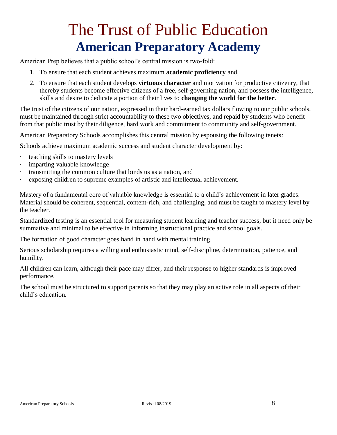# The Trust of Public Education **American Preparatory Academy**

American Prep believes that a public school's central mission is two-fold:

- 1. To ensure that each student achieves maximum **academic proficiency** and,
- 2. To ensure that each student develops **virtuous character** and motivation for productive citizenry, that thereby students become effective citizens of a free, self-governing nation, and possess the intelligence, skills and desire to dedicate a portion of their lives to **changing the world for the better**.

The trust of the citizens of our nation, expressed in their hard-earned tax dollars flowing to our public schools, must be maintained through strict accountability to these two objectives, and repaid by students who benefit from that public trust by their diligence, hard work and commitment to community and self-government.

American Preparatory Schools accomplishes this central mission by espousing the following tenets:

Schools achieve maximum academic success and student character development by:

- · teaching skills to mastery levels
- · imparting valuable knowledge
- · transmitting the common culture that binds us as a nation, and
- exposing children to supreme examples of artistic and intellectual achievement.

Mastery of a fundamental core of valuable knowledge is essential to a child's achievement in later grades. Material should be coherent, sequential, content-rich, and challenging, and must be taught to mastery level by the teacher.

Standardized testing is an essential tool for measuring student learning and teacher success, but it need only be summative and minimal to be effective in informing instructional practice and school goals.

The formation of good character goes hand in hand with mental training.

Serious scholarship requires a willing and enthusiastic mind, self-discipline, determination, patience, and humility.

All children can learn, although their pace may differ, and their response to higher standards is improved performance.

The school must be structured to support parents so that they may play an active role in all aspects of their child's education.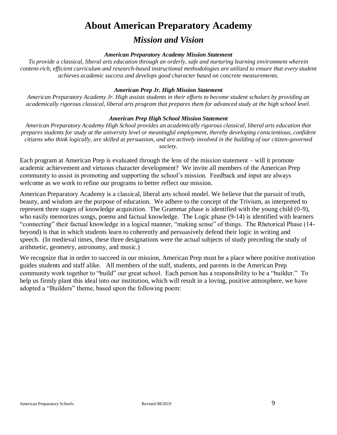## **About American Preparatory Academy**

## *Mission and Vision*

#### *American Preparatory Academy Mission Statement*

*To provide a classical, liberal arts education through an orderly, safe and nurturing learning environment wherein content-rich, efficient curriculum and research-based instructional methodologies are utilized to ensure that every student achieves academic success and develops good character based on concrete measurements.*

#### *American Prep Jr. High Mission Statement*

*American Preparatory Academy Jr. High assists students in their efforts to become student scholars by providing an academically rigorous classical, liberal arts program that prepares them for advanced study at the high school level.*

#### *American Prep High School Mission Statement*

*American Preparatory Academy High School provides an academically rigorous classical, liberal arts education that prepares students for study at the university level or meaningful employment, thereby developing conscientious, confident citizens who think logically, are skilled at persuasion, and are actively involved in the building of our citizen-governed society.*

Each program at American Prep is evaluated through the lens of the mission statement – will it promote academic achievement and virtuous character development? We invite all members of the American Prep community to assist in promoting and supporting the school's mission. Feedback and input are always welcome as we work to refine our programs to better reflect our mission.

American Preparatory Academy is a classical, liberal arts school model. We believe that the pursuit of truth, beauty, and wisdom are the purpose of education. We adhere to the concept of the Trivium, as interpreted to represent three stages of knowledge acquisition. The Grammar phase is identified with the young child (0-9), who easily memorizes songs, poems and factual knowledge. The Logic phase (9-14) is identified with learners "connecting" their factual knowledge in a logical manner, "making sense" of things. The Rhetorical Phase (14 beyond) is that in which students learn to coherently and persuasively defend their logic in writing and speech. (In medieval times, these three designations were the actual subjects of study preceding the study of arithmetic, geometry, astronomy, and music.)

We recognize that in order to succeed in our mission, American Prep must be a place where positive motivation guides students and staff alike. All members of the staff, students, and parents in the American Prep community work together to "build" our great school. Each person has a responsibility to be a "builder." To help us firmly plant this ideal into our institution, which will result in a loving, positive atmosphere, we have adopted a "Builders" theme, based upon the following poem: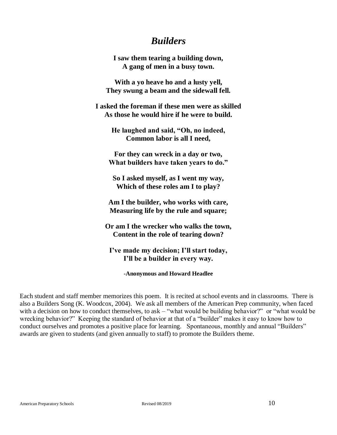## *Builders*

**I saw them tearing a building down, A gang of men in a busy town.**

**With a yo heave ho and a lusty yell, They swung a beam and the sidewall fell.**

**I asked the foreman if these men were as skilled As those he would hire if he were to build.**

> **He laughed and said, "Oh, no indeed, Common labor is all I need,**

**For they can wreck in a day or two, What builders have taken years to do."**

**So I asked myself, as I went my way, Which of these roles am I to play?**

**Am I the builder, who works with care, Measuring life by the rule and square;**

**Or am I the wrecker who walks the town, Content in the role of tearing down?**

**I've made my decision; I'll start today, I'll be a builder in every way.**

**-Anonymous and Howard Headlee**

Each student and staff member memorizes this poem. It is recited at school events and in classrooms. There is also a Builders Song (K. Woodcox, 2004). We ask all members of the American Prep community, when faced with a decision on how to conduct themselves, to ask – "what would be building behavior?" or "what would be wrecking behavior?" Keeping the standard of behavior at that of a "builder" makes it easy to know how to conduct ourselves and promotes a positive place for learning. Spontaneous, monthly and annual "Builders" awards are given to students (and given annually to staff) to promote the Builders theme.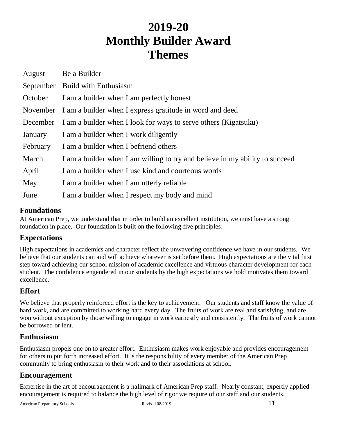## **2019-20 Monthly Builder Award Themes**

| August   | Be a Builder                                                                 |  |  |
|----------|------------------------------------------------------------------------------|--|--|
|          | September Build with Enthusiasm                                              |  |  |
| October  | I am a builder when I am perfectly honest                                    |  |  |
|          | November I am a builder when I express gratitude in word and deed            |  |  |
| December | I am a builder when I look for ways to serve others (Kigatsuku)              |  |  |
| January  | I am a builder when I work diligently                                        |  |  |
| February | I am a builder when I befriend others                                        |  |  |
| March    | I am a builder when I am willing to try and believe in my ability to succeed |  |  |
| April    | I am a builder when I use kind and courteous words                           |  |  |
| May      | I am a builder when I am utterly reliable                                    |  |  |
| June     | I am a builder when I respect my body and mind                               |  |  |

#### **Foundations**

At American Prep, we understand that in order to build an excellent institution, we must have a strong foundation in place. Our foundation is built on the following five principles:

#### **Expectations**

High expectations in academics and character reflect the unwavering confidence we have in our students. We believe that our students can and will achieve whatever is set before them. High expectations are the vital first step toward achieving our school mission of academic excellence and virtuous character development for each student. The confidence engendered in our students by the high expectations we hold motivates them toward excellence.

## **Effort**

We believe that properly reinforced effort is the key to achievement. Our students and staff know the value of hard work, and are committed to working hard every day. The fruits of work are real and satisfying, and are won without exception by those willing to engage in work earnestly and consistently. The fruits of work cannot be borrowed or lent.

#### **Enthusiasm**

Enthusiasm propels one on to greater effort. Enthusiasm makes work enjoyable and provides encouragement for others to put forth increased effort. It is the responsibility of every member of the American Prep community to bring enthusiasm to their work and to their associations at school.

## **Encouragement**

Expertise in the art of encouragement is a hallmark of American Prep staff. Nearly constant, expertly applied encouragement is required to balance the high level of rigor we require of our staff and our students.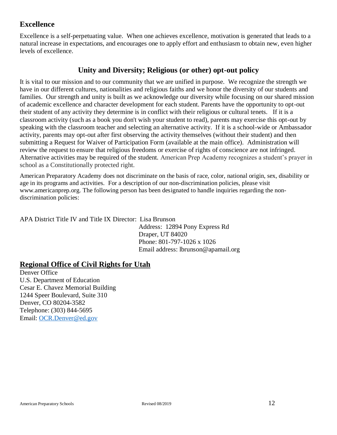#### **Excellence**

Excellence is a self-perpetuating value. When one achieves excellence, motivation is generated that leads to a natural increase in expectations, and encourages one to apply effort and enthusiasm to obtain new, even higher levels of excellence.

### **Unity and Diversity; Religious (or other) opt-out policy**

It is vital to our mission and to our community that we are unified in purpose. We recognize the strength we have in our different cultures, nationalities and religious faiths and we honor the diversity of our students and families. Our strength and unity is built as we acknowledge our diversity while focusing on our shared mission of academic excellence and character development for each student. Parents have the opportunity to opt-out their student of any activity they determine is in conflict with their religious or cultural tenets. If it is a classroom activity (such as a book you don't wish your student to read), parents may exercise this opt-out by speaking with the classroom teacher and selecting an alternative activity. If it is a school-wide or Ambassador activity, parents may opt-out after first observing the activity themselves (without their student) and then submitting a Request for Waiver of Participation Form (available at the main office). Administration will review the request to ensure that religious freedoms or exercise of rights of conscience are not infringed. Alternative activities may be required of the student. American Prep Academy recognizes a student's prayer in school as a Constitutionally protected right.

American Preparatory Academy does not discriminate on the basis of race, color, national origin, sex, disability or age in its programs and activities. For a description of our non-discrimination policies, please visit www.americanprep.org. The following person has been designated to handle inquiries regarding the nondiscrimination policies:

APA District Title IV and Title IX Director: Lisa Brunson

 Address: 12894 Pony Express Rd Draper, UT 84020 Phone: 801-797-1026 x 1026 Email address: lbrunson@apamail.org

## **Regional Office of Civil Rights for Utah**

Denver Office U.S. Department of Education Cesar E. Chavez Memorial Building 1244 Speer Boulevard, Suite 310 Denver, CO 80204-3582 Telephone: (303) 844-5695 Email: [OCR.Denver@ed.gov](mailto:OCR.Denver@ed.gov)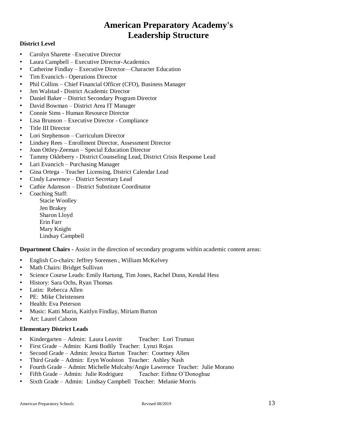## **American Preparatory Academy's Leadership Structure**

#### **District Level**

- Carolyn Sharette –Executive Director
- Laura Campbell Executive Director-Academics
- Catherine Findlay Executive Director—Character Education
- Tim Evancich Operations Director
- Phil Collins Chief Financial Officer (CFO), Business Manager
- Jen Walstad District Academic Director
- Daniel Baker District Secondary Program Director
- David Bowman District Area IT Manager
- Connie Sims Human Resource Director
- Lisa Brunson Executive Director Compliance
- Title III Director
- Lori Stephenson Curriculum Director
- Lindsey Rees Enrollment Director, Assessment Director
- Joan Ottley-Zeeman Special Education Director
- Tammy Okleberry District Counseling Lead, District Crisis Response Lead
- Lari Evancich Purchasing Manager
- Gina Ortega Teacher Licensing, District Calendar Lead
- Cindy Lawrence District Secretary Lead
- Cathie Adamson District Substitute Coordinator
- Coaching Staff:
	- Stacie Woolley Jen Brakey Sharon Lloyd Erin Farr Mary Knight Lindsay Campbell

**Department Chairs -** Assist in the direction of secondary programs within academic content areas:

- English Co-chairs: Jeffrey Sorensen , William McKelvey
- Math Chairs: Bridget Sullivan
- Science Course Leads: Emily Hartung, Tim Jones, Rachel Dunn, Kendal Hess
- History: Sara Ochs, Ryan Thomas
- Latin: Rebecca Allen
- PE: Mike Christensen
- Health: Eva Peterson
- Music: Katti Marin, Kaitlyn Findlay, Miriam Burton
- Art: Laurel Cahoon

#### **Elementary District Leads**

- Kindergarten Admin: Laura Leavitt Teacher: Lori Truman
- First Grade Admin: Kami Bodily Teacher: Lynzi Rojas
- Second Grade Admin: Jessica Barton Teacher: Courtney Allen
- Third Grade Admin: Eryn Woolston Teacher: Ashley Nash
- Fourth Grade Admin: Michelle Mulcahy/Angie Lawrence Teacher: Julie Morano
- Fifth Grade Admin: Julie Rodriguez Teacher: Eithne O'Donoghue
- Sixth Grade Admin: Lindsay Campbell Teacher: Melanie Morris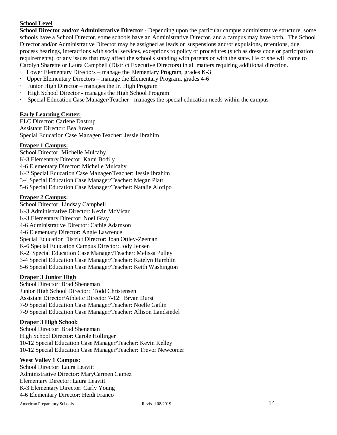#### **School Level**

**School Director and/or Administrative Director** - Depending upon the particular campus administrative structure, some schools have a School Director, some schools have an Administrative Director, and a campus may have both. The School Director and/or Administrative Director may be assigned as leads on suspensions and/or expulsions, retentions, due process hearings, interactions with social services, exceptions to policy or procedures (such as dress code or participation requirements), or any issues that may affect the school's standing with parents or with the state. He or she will come to Carolyn Sharette or Laura Campbell (District Executive Directors) in all matters requiring additional direction.

- · Lower Elementary Directors manage the Elementary Program, grades K-3
- · Upper Elementary Directors manage the Elementary Program, grades 4-6
- Junior High Director manages the Jr. High Program
- High School Director manages the High School Program
- · Special Education Case Manager/Teacher manages the special education needs within the campus

#### **Early Learning Center:**

ELC Director: Carlene Dastrup Assistant Director: Bea Juvera Special Education Case Manager/Teacher: Jessie Ibrahim

#### **Draper 1 Campus:**

School Director: Michelle Mulcahy K-3 Elementary Director: Kami Bodily 4-6 Elementary Director: Michelle Mulcahy

- K-2 Special Education Case Manager/Teacher: Jessie Ibrahim
- 3-4 Special Education Case Manager/Teacher: Megan Platt
- 5-6 Special Education Case Manager/Teacher: Natalie Alofipo

#### **Draper 2 Campus:**

School Director: Lindsay Campbell K-3 Administrative Director: Kevin McVicar K-3 Elementary Director: Noel Gray 4-6 Administrative Director: Cathie Adamson 4-6 Elementary Director: Angie Lawrence Special Education District Director: Joan Ottley-Zeeman K-6 Special Education Campus Director: Jody Jensen K-2 Special Education Case Manager/Teacher: Melissa Pulley 3-4 Special Education Case Manager/Teacher: Katelyn Hamblin 5-6 Special Education Case Manager/Teacher: Keith Washington

#### **Draper 3 Junior High**

School Director: Brad Sheneman Junior High School Director: Todd Christensen Assistant Director/Athletic Director 7-12: Bryan Durst 7-9 Special Education Case Manager/Teacher: Noelle Gatlin 7-9 Special Education Case Manager/Teacher: Allison Landsiedel

#### **Draper 3 High School:**

School Director: Brad Sheneman High School Director: Carole Hollinger 10-12 Special Education Case Manager/Teacher: Kevin Kelley 10-12 Special Education Case Manager/Teacher: Trevor Newcomer

#### **West Valley 1 Campus:**

School Director: Laura Leavitt Administrative Director: MaryCarmen Gamez Elementary Director: Laura Leavitt K-3 Elementary Director: Carly Young 4-6 Elementary Director: Heidi Franco

American Preparatory Schools **14** Revised 08/2019 **14**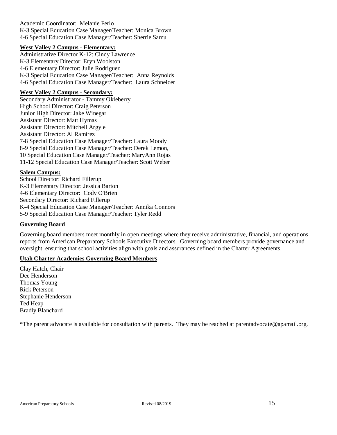Academic Coordinator: Melanie Ferlo K-3 Special Education Case Manager/Teacher: Monica Brown 4-6 Special Education Case Manager/Teacher: Sherrie Samu

#### **West Valley 2 Campus - Elementary:**

Administrative Director K-12: Cindy Lawrence K-3 Elementary Director: Eryn Woolston 4-6 Elementary Director: Julie Rodriguez K-3 Special Education Case Manager/Teacher: Anna Reynolds 4-6 Special Education Case Manager/Teacher: Laura Schneider

#### **West Valley 2 Campus - Secondary:**

Secondary Administrator - Tammy Okleberry High School Director: Craig Peterson Junior High Director: Jake Winegar Assistant Director: Matt Hymas Assistant Director: Mitchell Argyle Assistant Director: Al Ramirez 7-8 Special Education Case Manager/Teacher: Laura Moody 8-9 Special Education Case Manager/Teacher: Derek Lemon, 10 Special Education Case Manager/Teacher: MaryAnn Rojas 11-12 Special Education Case Manager/Teacher: Scott Weber

#### **Salem Campus:**

School Director: Richard Fillerup K-3 Elementary Director: Jessica Barton 4-6 Elementary Director: Cody O'Brien Secondary Director: Richard Fillerup K-4 Special Education Case Manager/Teacher: Annika Connors 5-9 Special Education Case Manager/Teacher: Tyler Redd

#### **Governing Board**

Governing board members meet monthly in open meetings where they receive administrative, financial, and operations reports from American Preparatory Schools Executive Directors. Governing board members provide governance and oversight, ensuring that school activities align with goals and assurances defined in the Charter Agreements.

#### **Utah Charter Academies Governing Board Members**

Clay Hatch, Chair Dee Henderson Thomas Young Rick Peterson Stephanie Henderson Ted Heap Bradly Blanchard

\*The parent advocate is available for consultation with parents. They may be reached at parentadvocate@apamail.org.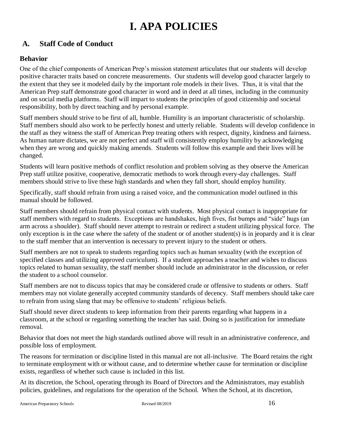## **I. APA POLICIES**

## <span id="page-15-1"></span><span id="page-15-0"></span>**A. Staff Code of Conduct**

#### <span id="page-15-2"></span>**Behavior**

One of the chief components of American Prep's mission statement articulates that our students will develop positive character traits based on concrete measurements. Our students will develop good character largely to the extent that they see it modeled daily by the important role models in their lives. Thus, it is vital that the American Prep staff demonstrate good character in word and in deed at all times, including in the community and on social media platforms. Staff will impart to students the principles of good citizenship and societal responsibility, both by direct teaching and by personal example.

Staff members should strive to be first of all, humble. Humility is an important characteristic of scholarship. Staff members should also work to be perfectly honest and utterly reliable. Students will develop confidence in the staff as they witness the staff of American Prep treating others with respect, dignity, kindness and fairness. As human nature dictates, we are not perfect and staff will consistently employ humility by acknowledging when they are wrong and quickly making amends. Students will follow this example and their lives will be changed.

Students will learn positive methods of conflict resolution and problem solving as they observe the American Prep staff utilize positive, cooperative, democratic methods to work through every-day challenges. Staff members should strive to live these high standards and when they fall short, should employ humility.

Specifically, staff should refrain from using a raised voice, and the communication model outlined in this manual should be followed.

Staff members should refrain from physical contact with students. Most physical contact is inappropriate for staff members with regard to students. Exceptions are handshakes, high fives, fist bumps and "side" hugs (an arm across a shoulder). Staff should never attempt to restrain or redirect a student utilizing physical force. The only exception is in the case where the safety of the student or of another student(s) is in jeopardy and it is clear to the staff member that an intervention is necessary to prevent injury to the student or others.

Staff members are not to speak to students regarding topics such as human sexuality (with the exception of specified classes and utilizing approved curriculum). If a student approaches a teacher and wishes to discuss topics related to human sexuality, the staff member should include an administrator in the discussion, or refer the student to a school counselor.

Staff members are not to discuss topics that may be considered crude or offensive to students or others. Staff members may not violate generally accepted community standards of decency. Staff members should take care to refrain from using slang that may be offensive to students' religious beliefs.

Staff should never direct students to keep information from their parents regarding what happens in a classroom, at the school or regarding something the teacher has said. Doing so is justification for immediate removal.

Behavior that does not meet the high standards outlined above will result in an administrative conference, and possible loss of employment.

The reasons for termination or discipline listed in this manual are not all-inclusive. The Board retains the right to terminate employment with or without cause, and to determine whether cause for termination or discipline exists, regardless of whether such cause is included in this list.

At its discretion, the School, operating through its Board of Directors and the Administrators, may establish policies, guidelines, and regulations for the operation of the School. When the School, at its discretion,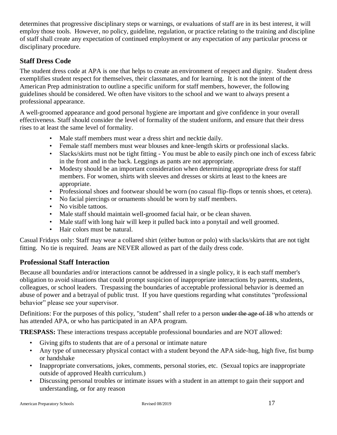determines that progressive disciplinary steps or warnings, or evaluations of staff are in its best interest, it will employ those tools. However, no policy, guideline, regulation, or practice relating to the training and discipline of staff shall create any expectation of continued employment or any expectation of any particular process or disciplinary procedure.

#### <span id="page-16-0"></span>**Staff Dress Code**

The student dress code at APA is one that helps to create an environment of respect and dignity. Student dress exemplifies student respect for themselves, their classmates, and for learning. It is not the intent of the American Prep administration to outline a specific uniform for staff members, however, the following guidelines should be considered. We often have visitors to the school and we want to always present a professional appearance.

A well-groomed appearance and good personal hygiene are important and give confidence in your overall effectiveness. Staff should consider the level of formality of the student uniform, and ensure that their dress rises to at least the same level of formality.

- Male staff members must wear a dress shirt and necktie daily.
- Female staff members must wear blouses and knee-length skirts or professional slacks.
- Slacks/skirts must not be tight fitting You must be able to easily pinch one inch of excess fabric in the front and in the back. Leggings as pants are not appropriate.
- Modesty should be an important consideration when determining appropriate dress for staff members. For women, shirts with sleeves and dresses or skirts at least to the knees are appropriate.
- Professional shoes and footwear should be worn (no casual flip-flops or tennis shoes, et cetera).
- No facial piercings or ornaments should be worn by staff members.
- No visible tattoos.
- Male staff should maintain well-groomed facial hair, or be clean shaven.
- Male staff with long hair will keep it pulled back into a ponytail and well groomed.
- Hair colors must be natural.

Casual Fridays only: Staff may wear a collared shirt (either button or polo) with slacks/skirts that are not tight fitting. No tie is required. Jeans are NEVER allowed as part of the daily dress code.

#### <span id="page-16-1"></span>**Professional Staff Interaction**

Because all boundaries and/or interactions cannot be addressed in a single policy, it is each staff member's obligation to avoid situations that could prompt suspicion of inappropriate interactions by parents, students, colleagues, or school leaders. Trespassing the boundaries of acceptable professional behavior is deemed an abuse of power and a betrayal of public trust. If you have questions regarding what constitutes "professional behavior" please see your supervisor.

Definitions: For the purposes of this policy, "student" shall refer to a person under the age of 18 who attends or has attended APA, or who has participated in an APA program.

**TRESPASS:** These interactions trespass acceptable professional boundaries and are NOT allowed:

- Giving gifts to students that are of a personal or intimate nature
- Any type of unnecessary physical contact with a student beyond the APA side-hug, high five, fist bump or handshake
- Inappropriate conversations, jokes, comments, personal stories, etc. (Sexual topics are inappropriate outside of approved Health curriculum.)
- Discussing personal troubles or intimate issues with a student in an attempt to gain their support and understanding, or for any reason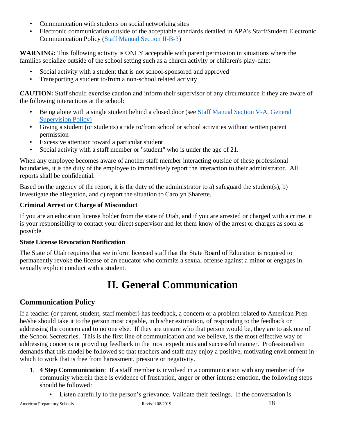- Communication with students on social networking sites
- Electronic communication outside of the acceptable standards detailed in APA's Staff/Student Electronic Communication Policy (Staff Manual Section II-B-3)

**WARNING:** This following activity is ONLY acceptable with parent permission in situations where the families socialize outside of the school setting such as a church activity or children's play-date:

- Social activity with a student that is not school-sponsored and approved
- Transporting a student to/from a non-school related activity

**CAUTION:** Staff should exercise caution and inform their supervisor of any circumstance if they are aware of the following interactions at the school:

- Being alone with a single student behind a closed door (see Staff Manual Section V-A. General Supervision Policy)
- Giving a student (or students) a ride to/from school or school activities without written parent permission
- Excessive attention toward a particular student
- Social activity with a staff member or "student" who is under the age of 21.

When any employee becomes aware of another staff member interacting outside of these professional boundaries, it is the duty of the employee to immediately report the interaction to their administrator. All reports shall be confidential.

Based on the urgency of the report, it is the duty of the administrator to a) safeguard the student(s), b) investigate the allegation, and c) report the situation to Carolyn Sharette.

#### **Criminal Arrest or Charge of Misconduct**

If you are an education license holder from the state of Utah, and if you are arrested or charged with a crime, it is your responsibility to contact your direct supervisor and let them know of the arrest or charges as soon as possible.

#### **State License Revocation Notification**

The State of Utah requires that we inform licensed staff that the State Board of Education is required to permanently revoke the license of an educator who commits a sexual offense against a minor or engages in sexually explicit conduct with a student.

## **II. General Communication**

## <span id="page-17-1"></span><span id="page-17-0"></span>**Communication Policy**

If a teacher (or parent, student, staff member) has feedback, a concern or a problem related to American Prep he/she should take it to the person most capable, in his/her estimation, of responding to the feedback or addressing the concern and to no one else. If they are unsure who that person would be, they are to ask one of the School Secretaries. This is the first line of communication and we believe, is the most effective way of addressing concerns or providing feedback in the most expeditious and successful manner. Professionalism demands that this model be followed so that teachers and staff may enjoy a positive, motivating environment in which to work that is free from harassment, pressure or negativity.

- 1. **4 Step Communication**: If a staff member is involved in a communication with any member of the community wherein there is evidence of frustration, anger or other intense emotion, the following steps should be followed:
	- Listen carefully to the person's grievance. Validate their feelings. If the conversation is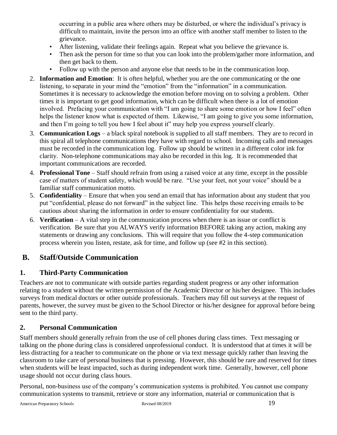occurring in a public area where others may be disturbed, or where the individual's privacy is difficult to maintain, invite the person into an office with another staff member to listen to the grievance.

- After listening, validate their feelings again. Repeat what you believe the grievance is.
- Then ask the person for time so that you can look into the problem/gather more information, and then get back to them.
- Follow up with the person and anyone else that needs to be in the communication loop.
- 2. **Information and Emotion**: It is often helpful, whether you are the one communicating or the one listening, to separate in your mind the "emotion" from the "information" in a communication. Sometimes it is necessary to acknowledge the emotion before moving on to solving a problem. Other times it is important to get good information, which can be difficult when there is a lot of emotion involved. Prefacing your communication with "I am going to share some emotion or how I feel" often helps the listener know what is expected of them. Likewise, "I am going to give you some information, and then I'm going to tell you how I feel about it" may help you express yourself clearly.
- 3. **Communication Logs** a black spiral notebook is supplied to all staff members. They are to record in this spiral all telephone communications they have with regard to school. Incoming calls and messages must be recorded in the communication log. Follow up should be written in a different color ink for clarity. Non-telephone communications may also be recorded in this log. It is recommended that important communications are recorded.
- 4. **Professional Tone** Staff should refrain from using a raised voice at any time, except in the possible case of matters of student safety, which would be rare. "Use your feet, not your voice" should be a familiar staff communication motto.
- 5. **Confidentiality** Ensure that when you send an email that has information about any student that you put "confidential, please do not forward" in the subject line. This helps those receiving emails to be cautious about sharing the information in order to ensure confidentiality for our students.
- 6. **Verification** A vital step in the communication process when there is an issue or conflict is verification. Be sure that you ALWAYS verify information BEFORE taking any action, making any statements or drawing any conclusions. This will require that you follow the 4-step communication process wherein you listen, restate, ask for time, and follow up (see #2 in this section).

#### <span id="page-18-0"></span>**B. Staff/Outside Communication**

#### <span id="page-18-1"></span>**1. Third-Party Communication**

Teachers are not to communicate with outside parties regarding student progress or any other information relating to a student without the written permission of the Academic Director or his/her designee. This includes surveys from medical doctors or other outside professionals. Teachers may fill out surveys at the request of parents, however, the survey must be given to the School Director or his/her designee for approval before being sent to the third party.

#### <span id="page-18-2"></span>**2. Personal Communication**

Staff members should generally refrain from the use of cell phones during class times. Text messaging or talking on the phone during class is considered unprofessional conduct. It is understood that at times it will be less distracting for a teacher to communicate on the phone or via text message quickly rather than leaving the classroom to take care of personal business that is pressing. However, this should be rare and reserved for times when students will be least impacted, such as during independent work time. Generally, however, cell phone usage should not occur during class hours.

Personal, non-business use of the company's communication systems is prohibited. You cannot use company communication systems to transmit, retrieve or store any information, material or communication that is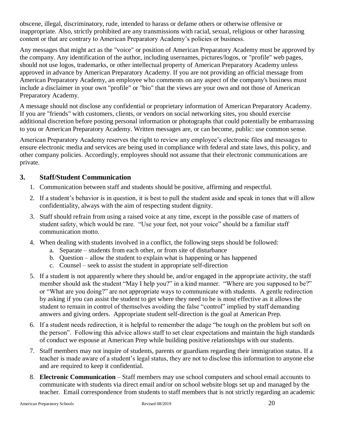obscene, illegal, discriminatory, rude, intended to harass or defame others or otherwise offensive or inappropriate. Also, strictly prohibited are any transmissions with racial, sexual, religious or other harassing content or that are contrary to American Preparatory Academy's policies or business.

Any messages that might act as the "voice" or position of American Preparatory Academy must be approved by the company. Any identification of the author, including usernames, pictures/logos, or "profile" web pages, should not use logos, trademarks, or other intellectual property of American Preparatory Academy unless approved in advance by American Preparatory Academy. If you are not providing an official message from American Preparatory Academy, an employee who comments on any aspect of the company's business must include a disclaimer in your own "profile" or "bio" that the views are your own and not those of American Preparatory Academy.

A message should not disclose any confidential or proprietary information of American Preparatory Academy. If you are "friends" with customers, clients, or vendors on social networking sites, you should exercise additional discretion before posting personal information or photographs that could potentially be embarrassing to you or American Preparatory Academy. Written messages are, or can become, public: use common sense.

American Preparatory Academy reserves the right to review any employee's electronic files and messages to ensure electronic media and services are being used in compliance with federal and state laws, this policy, and other company policies. Accordingly, employees should not assume that their electronic communications are private.

#### <span id="page-19-0"></span>**3. Staff/Student Communication**

- 1. Communication between staff and students should be positive, affirming and respectful.
- 2. If a student's behavior is in question, it is best to pull the student aside and speak in tones that will allow confidentiality, always with the aim of respecting student dignity.
- 3. Staff should refrain from using a raised voice at any time, except in the possible case of matters of student safety, which would be rare. "Use your feet, not your voice" should be a familiar staff communication motto.
- 4. When dealing with students involved in a conflict, the following steps should be followed:
	- a. Separate students from each other, or from site of disturbance
	- b. Question allow the student to explain what is happening or has happened
	- c. Counsel seek to assist the student in appropriate self-direction
- 5. If a student is not apparently where they should be, and/or engaged in the appropriate activity, the staff member should ask the student "May I help you?" in a kind manner. "Where are you supposed to be?" or "What are you doing?" are not appropriate ways to communicate with students. A gentle redirection by asking if you can assist the student to get where they need to be is most effective as it allows the student to remain in control of themselves avoiding the false "control" implied by staff demanding answers and giving orders. Appropriate student self-direction is the goal at American Prep.
- 6. If a student needs redirection, it is helpful to remember the adage "be tough on the problem but soft on the person". Following this advice allows staff to set clear expectations and maintain the high standards of conduct we espouse at American Prep while building positive relationships with our students.
- 7. Staff members may not inquire of students, parents or guardians regarding their immigration status. If a teacher is made aware of a student's legal status, they are not to disclose this information to anyone else and are required to keep it confidential.
- 8. **Electronic Communication** Staff members may use school computers and school email accounts to communicate with students via direct email and/or on school website blogs set up and managed by the teacher. Email correspondence from students to staff members that is not strictly regarding an academic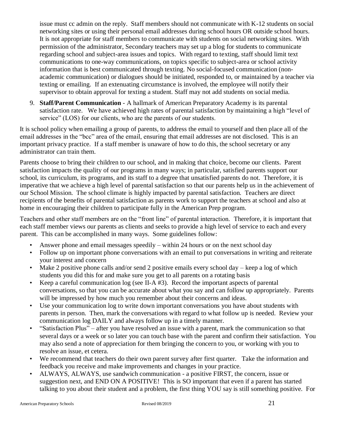issue must cc admin on the reply. Staff members should not communicate with K-12 students on social networking sites or using their personal email addresses during school hours OR outside school hours. It is not appropriate for staff members to communicate with students on social networking sites. With permission of the administrator, Secondary teachers may set up a blog for students to communicate regarding school and subject-area issues and topics. With regard to texting, staff should limit text communications to one-way communications, on topics specific to subject-area or school activity information that is best communicated through texting. No social-focused communication (nonacademic communication) or dialogues should be initiated, responded to, or maintained by a teacher via texting or emailing. If an extenuating circumstance is involved, the employee will notify their supervisor to obtain approval for texting a student. Staff may not add students on social media.

9. **Staff/Parent Communication** - A hallmark of American Preparatory Academy is its parental satisfaction rate. We have achieved high rates of parental satisfaction by maintaining a high "level of service" (LOS) for our clients, who are the parents of our students.

It is school policy when emailing a group of parents, to address the email to yourself and then place all of the email addresses in the "bcc" area of the email, ensuring that email addresses are not disclosed. This is an important privacy practice. If a staff member is unaware of how to do this, the school secretary or any administrator can train them.

Parents choose to bring their children to our school, and in making that choice, become our clients. Parent satisfaction impacts the quality of our programs in many ways; in particular, satisfied parents support our school, its curriculum, its programs, and its staff to a degree that unsatisfied parents do not. Therefore, it is imperative that we achieve a high level of parental satisfaction so that our parents help us in the achievement of our School Mission. The school climate is highly impacted by parental satisfaction. Teachers are direct recipients of the benefits of parental satisfaction as parents work to support the teachers at school and also at home in encouraging their children to participate fully in the American Prep program.

Teachers and other staff members are on the "front line" of parental interaction. Therefore, it is important that each staff member views our parents as clients and seeks to provide a high level of service to each and every parent. This can be accomplished in many ways. Some guidelines follow:

- Answer phone and email messages speedily within 24 hours or on the next school day
- Follow up on important phone conversations with an email to put conversations in writing and reiterate your interest and concern
- Make 2 positive phone calls and/or send 2 positive emails every school day keep a log of which students you did this for and make sure you get to all parents on a rotating basis
- Keep a careful communication  $log$  (see II-A  $#3$ ). Record the important aspects of parental conversations, so that you can be accurate about what you say and can follow up appropriately. Parents will be impressed by how much you remember about their concerns and ideas.
- Use your communication log to write down important conversations you have about students with parents in person. Then, mark the conversations with regard to what follow up is needed. Review your communication log DAILY and always follow up in a timely manner.
- "Satisfaction Plus" after you have resolved an issue with a parent, mark the communication so that several days or a week or so later you can touch base with the parent and confirm their satisfaction. You may also send a note of appreciation for them bringing the concern to you, or working with you to resolve an issue, et cetera.
- We recommend that teachers do their own parent survey after first quarter. Take the information and feedback you receive and make improvements and changes in your practice.
- ALWAYS, ALWAYS, use sandwich communication a positive FIRST, the concern, issue or suggestion next, and END ON A POSITIVE! This is SO important that even if a parent has started talking to you about their student and a problem, the first thing YOU say is still something positive. For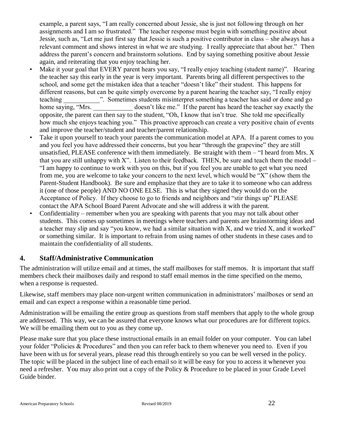example, a parent says, "I am really concerned about Jessie, she is just not following through on her assignments and I am so frustrated." The teacher response must begin with something positive about Jessie, such as, "Let me just first say that Jessie is such a positive contributor in class – she always has a relevant comment and shows interest in what we are studying. I really appreciate that about her." Then address the parent's concern and brainstorm solutions. End by saying something positive about Jessie again, and reiterating that you enjoy teaching her.

- Make it your goal that EVERY parent hears you say, "I really enjoy teaching (student name)". Hearing the teacher say this early in the year is very important. Parents bring all different perspectives to the school, and some get the mistaken idea that a teacher "doesn't like" their student. This happens for different reasons, but can be quite simply overcome by a parent hearing the teacher say, "I really enjoy teaching  $\ldots$  Sometimes students misinterpret something a teacher has said or done and go home saying, "Mrs. doesn't like me." If the parent has heard the teacher say exactly the opposite, the parent can then say to the student, "Oh, I know that isn't true. She told me specifically how much she enjoys teaching you." This proactive approach can create a very positive chain of events and improve the teacher/student and teacher/parent relationship.
- Take it upon yourself to teach your parents the communication model at APA. If a parent comes to you and you feel you have addressed their concerns, but you hear "through the grapevine" they are still unsatisfied, PLEASE conference with them immediately. Be straight with them  $-$  "I heard from Mrs. X that you are still unhappy with  $X$ ". Listen to their feedback. THEN, be sure and teach them the model – "I am happy to continue to work with you on this, but if you feel you are unable to get what you need from me, you are welcome to take your concern to the next level, which would be "X" (show them the Parent-Student Handbook). Be sure and emphasize that they are to take it to someone who can address it (one of those people) AND NO ONE ELSE. This is what they signed they would do on the Acceptance of Policy. If they choose to go to friends and neighbors and "stir things up" PLEASE contact the APA School Board Parent Advocate and she will address it with the parent.
- Confidentiality remember when you are speaking with parents that you may not talk about other students. This comes up sometimes in meetings where teachers and parents are brainstorming ideas and a teacher may slip and say "you know, we had a similar situation with X, and we tried X, and it worked" or something similar. It is important to refrain from using names of other students in these cases and to maintain the confidentiality of all students.

#### <span id="page-21-0"></span>**4. Staff/Administrative Communication**

The administration will utilize email and at times, the staff mailboxes for staff memos. It is important that staff members check their mailboxes daily and respond to staff email memos in the time specified on the memo, when a response is requested.

Likewise, staff members may place non-urgent written communication in administrators' mailboxes or send an email and can expect a response within a reasonable time period.

Administration will be emailing the entire group as questions from staff members that apply to the whole group are addressed. This way, we can be assured that everyone knows what our procedures are for different topics. We will be emailing them out to you as they come up.

Please make sure that you place these instructional emails in an email folder on your computer. You can label your folder "Policies & Procedures" and then you can refer back to them whenever you need to. Even if you have been with us for several years, please read this through entirely so you can be well versed in the policy. The topic will be placed in the subject line of each email so it will be easy for you to access it whenever you need a refresher. You may also print out a copy of the Policy & Procedure to be placed in your Grade Level Guide binder.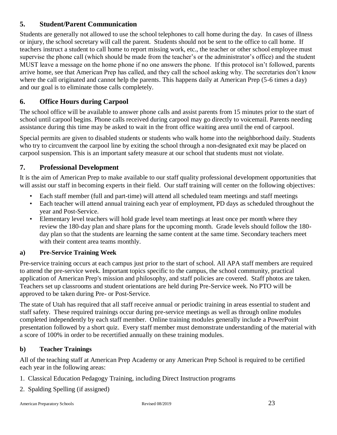#### <span id="page-22-0"></span>**5. Student/Parent Communication**

Students are generally not allowed to use the school telephones to call home during the day. In cases of illness or injury, the school secretary will call the parent. Students should not be sent to the office to call home. If teachers instruct a student to call home to report missing work, etc., the teacher or other school employee must supervise the phone call (which should be made from the teacher's or the administrator's office) and the student MUST leave a message on the home phone if no one answers the phone. If this protocol isn't followed, parents arrive home, see that American Prep has called, and they call the school asking why. The secretaries don't know where the call originated and cannot help the parents. This happens daily at American Prep (5-6 times a day) and our goal is to eliminate those calls completely.

#### <span id="page-22-1"></span>**6. Office Hours during Carpool**

The school office will be available to answer phone calls and assist parents from 15 minutes prior to the start of school until carpool begins. Phone calls received during carpool may go directly to voicemail. Parents needing assistance during this time may be asked to wait in the front office waiting area until the end of carpool.

Special permits are given to disabled students or students who walk home into the neighborhood daily. Students who try to circumvent the carpool line by exiting the school through a non-designated exit may be placed on carpool suspension. This is an important safety measure at our school that students must not violate.

#### <span id="page-22-2"></span>**7. Professional Development**

It is the aim of American Prep to make available to our staff quality professional development opportunities that will assist our staff in becoming experts in their field. Our staff training will center on the following objectives:

- Each staff member (full and part-time) will attend all scheduled team meetings and staff meetings
- Each teacher will attend annual training each year of employment, PD days as scheduled throughout the year and Post-Service.
- Elementary level teachers will hold grade level team meetings at least once per month where they review the 180-day plan and share plans for the upcoming month. Grade levels should follow the 180 day plan so that the students are learning the same content at the same time. Secondary teachers meet with their content area teams monthly.

#### **a) Pre-Service Training Week**

Pre-service training occurs at each campus just prior to the start of school. All APA staff members are required to attend the pre-service week. Important topics specific to the campus, the school community, practical application of American Prep's mission and philosophy, and staff policies are covered. Staff photos are taken. Teachers set up classrooms and student orientations are held during Pre-Service week. No PTO will be approved to be taken during Pre- or Post-Service.

The state of Utah has required that all staff receive annual or periodic training in areas essential to student and staff safety. These required trainings occur during pre-service meetings as well as through online modules completed independently by each staff member. Online training modules generally include a PowerPoint presentation followed by a short quiz. Every staff member must demonstrate understanding of the material with a score of 100% in order to be recertified annually on these training modules.

#### **b) Teacher Trainings**

All of the teaching staff at American Prep Academy or any American Prep School is required to be certified each year in the following areas:

- 1. Classical Education Pedagogy Training, including Direct Instruction programs
- 2. Spalding Spelling (if assigned)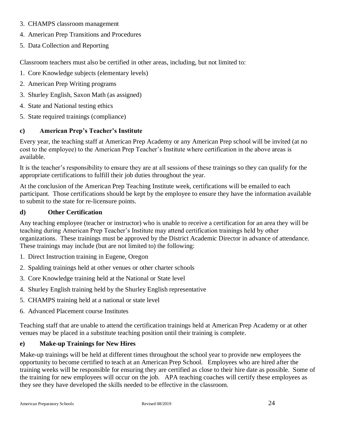- 3. CHAMPS classroom management
- 4. American Prep Transitions and Procedures
- 5. Data Collection and Reporting

Classroom teachers must also be certified in other areas, including, but not limited to:

- 1. Core Knowledge subjects (elementary levels)
- 2. American Prep Writing programs
- 3. Shurley English, Saxon Math (as assigned)
- 4. State and National testing ethics
- 5. State required trainings (compliance)

#### **c) American Prep's Teacher's Institute**

Every year, the teaching staff at American Prep Academy or any American Prep school will be invited (at no cost to the employee) to the American Prep Teacher's Institute where certification in the above areas is available.

It is the teacher's responsibility to ensure they are at all sessions of these trainings so they can qualify for the appropriate certifications to fulfill their job duties throughout the year.

At the conclusion of the American Prep Teaching Institute week, certifications will be emailed to each participant. Those certifications should be kept by the employee to ensure they have the information available to submit to the state for re-licensure points.

#### **d) Other Certification**

Any teaching employee (teacher or instructor) who is unable to receive a certification for an area they will be teaching during American Prep Teacher's Institute may attend certification trainings held by other organizations. These trainings must be approved by the District Academic Director in advance of attendance. These trainings may include (but are not limited to) the following:

- 1. Direct Instruction training in Eugene, Oregon
- 2. Spalding trainings held at other venues or other charter schools
- 3. Core Knowledge training held at the National or State level
- 4. Shurley English training held by the Shurley English representative
- 5. CHAMPS training held at a national or state level
- 6. Advanced Placement course Institutes

Teaching staff that are unable to attend the certification trainings held at American Prep Academy or at other venues may be placed in a substitute teaching position until their training is complete.

#### **e) Make-up Trainings for New Hires**

Make-up trainings will be held at different times throughout the school year to provide new employees the opportunity to become certified to teach at an American Prep School. Employees who are hired after the training weeks will be responsible for ensuring they are certified as close to their hire date as possible. Some of the training for new employees will occur on the job. APA teaching coaches will certify these employees as they see they have developed the skills needed to be effective in the classroom.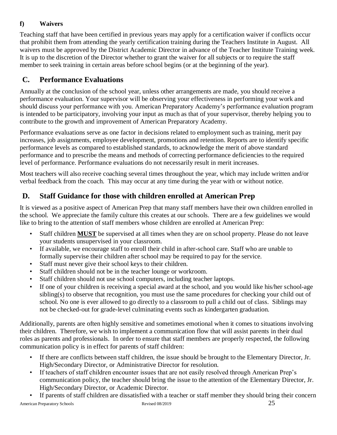#### **f) Waivers**

Teaching staff that have been certified in previous years may apply for a certification waiver if conflicts occur that prohibit them from attending the yearly certification training during the Teachers Institute in August. All waivers must be approved by the District Academic Director in advance of the Teacher Institute Training week. It is up to the discretion of the Director whether to grant the waiver for all subjects or to require the staff member to seek training in certain areas before school begins (or at the beginning of the year).

## <span id="page-24-0"></span>**C. Performance Evaluations**

Annually at the conclusion of the school year, unless other arrangements are made, you should receive a performance evaluation. Your supervisor will be observing your effectiveness in performing your work and should discuss your performance with you. American Preparatory Academy's performance evaluation program is intended to be participatory, involving your input as much as that of your supervisor, thereby helping you to contribute to the growth and improvement of American Preparatory Academy.

Performance evaluations serve as one factor in decisions related to employment such as training, merit pay increases, job assignments, employee development, promotions and retention. Reports are to identify specific performance levels as compared to established standards, to acknowledge the merit of above standard performance and to prescribe the means and methods of correcting performance deficiencies to the required level of performance. Performance evaluations do not necessarily result in merit increases.

Most teachers will also receive coaching several times throughout the year, which may include written and/or verbal feedback from the coach. This may occur at any time during the year with or without notice.

## <span id="page-24-1"></span>**D. Staff Guidance for those with children enrolled at American Prep**

It is viewed as a positive aspect of American Prep that many staff members have their own children enrolled in the school. We appreciate the family culture this creates at our schools. There are a few guidelines we would like to bring to the attention of staff members whose children are enrolled at American Prep:

- Staff children **MUST** be supervised at all times when they are on school property. Please do not leave your students unsupervised in your classroom.
- If available, we encourage staff to enroll their child in after-school care. Staff who are unable to formally supervise their children after school may be required to pay for the service.
- Staff must never give their school keys to their children.
- Staff children should not be in the teacher lounge or workroom.
- Staff children should not use school computers, including teacher laptops.
- If one of your children is receiving a special award at the school, and you would like his/her school-age sibling(s) to observe that recognition, you must use the same procedures for checking your child out of school. No one is ever allowed to go directly to a classroom to pull a child out of class. Siblings may not be checked-out for grade-level culminating events such as kindergarten graduation.

Additionally, parents are often highly sensitive and sometimes emotional when it comes to situations involving their children. Therefore, we wish to implement a communication flow that will assist parents in their dual roles as parents and professionals. In order to ensure that staff members are properly respected, the following communication policy is in effect for parents of staff children:

- If there are conflicts between staff children, the issue should be brought to the Elementary Director, Jr. High/Secondary Director, or Administrative Director for resolution.
- If teachers of staff children encounter issues that are not easily resolved through American Prep's communication policy, the teacher should bring the issue to the attention of the Elementary Director, Jr. High/Secondary Director, or Academic Director.
- If parents of staff children are dissatisfied with a teacher or staff member they should bring their concern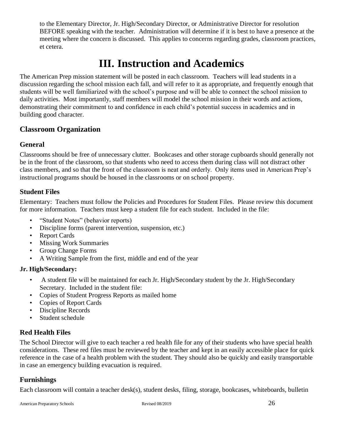to the Elementary Director, Jr. High/Secondary Director, or Administrative Director for resolution BEFORE speaking with the teacher. Administration will determine if it is best to have a presence at the meeting where the concern is discussed. This applies to concerns regarding grades, classroom practices, et cetera.

## **III. Instruction and Academics**

<span id="page-25-0"></span>The American Prep mission statement will be posted in each classroom. Teachers will lead students in a discussion regarding the school mission each fall, and will refer to it as appropriate, and frequently enough that students will be well familiarized with the school's purpose and will be able to connect the school mission to daily activities. Most importantly, staff members will model the school mission in their words and actions, demonstrating their commitment to and confidence in each child's potential success in academics and in building good character.

### <span id="page-25-1"></span>**Classroom Organization**

#### <span id="page-25-2"></span>**General**

Classrooms should be free of unnecessary clutter. Bookcases and other storage cupboards should generally not be in the front of the classroom, so that students who need to access them during class will not distract other class members, and so that the front of the classroom is neat and orderly. Only items used in American Prep's instructional programs should be housed in the classrooms or on school property.

#### <span id="page-25-3"></span>**Student Files**

Elementary: Teachers must follow the Policies and Procedures for Student Files. Please review this document for more information. Teachers must keep a student file for each student. Included in the file:

- "Student Notes" (behavior reports)
- Discipline forms (parent intervention, suspension, etc.)
- Report Cards
- Missing Work Summaries
- Group Change Forms
- A Writing Sample from the first, middle and end of the year

#### **Jr. High/Secondary:**

- A student file will be maintained for each Jr. High/Secondary student by the Jr. High/Secondary Secretary. Included in the student file:
- Copies of Student Progress Reports as mailed home
- Copies of Report Cards
- Discipline Records
- Student schedule

#### <span id="page-25-4"></span>**Red Health Files**

The School Director will give to each teacher a red health file for any of their students who have special health considerations. These red files must be reviewed by the teacher and kept in an easily accessible place for quick reference in the case of a health problem with the student. They should also be quickly and easily transportable in case an emergency building evacuation is required.

#### <span id="page-25-5"></span>**Furnishings**

Each classroom will contain a teacher desk(s), student desks, filing, storage, bookcases, whiteboards, bulletin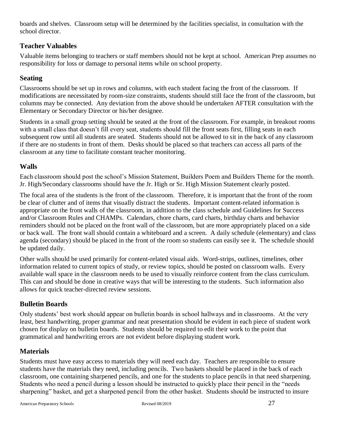boards and shelves. Classroom setup will be determined by the facilities specialist, in consultation with the school director.

#### <span id="page-26-0"></span>**Teacher Valuables**

Valuable items belonging to teachers or staff members should not be kept at school. American Prep assumes no responsibility for loss or damage to personal items while on school property.

#### <span id="page-26-1"></span>**Seating**

Classrooms should be set up in rows and columns, with each student facing the front of the classroom. If modifications are necessitated by room-size constraints, students should still face the front of the classroom, but columns may be connected. Any deviation from the above should be undertaken AFTER consultation with the Elementary or Secondary Director or his/her designee.

Students in a small group setting should be seated at the front of the classroom. For example, in breakout rooms with a small class that doesn't fill every seat, students should fill the front seats first, filling seats in each subsequent row until all students are seated. Students should not be allowed to sit in the back of any classroom if there are no students in front of them. Desks should be placed so that teachers can access all parts of the classroom at any time to facilitate constant teacher monitoring.

#### <span id="page-26-2"></span>**Walls**

Each classroom should post the school's Mission Statement, Builders Poem and Builders Theme for the month. Jr. High/Secondary classrooms should have the Jr. High or Sr. High Mission Statement clearly posted.

The focal area of the students is the front of the classroom. Therefore, it is important that the front of the room be clear of clutter and of items that visually distract the students. Important content-related information is appropriate on the front walls of the classroom, in addition to the class schedule and Guidelines for Success and/or Classroom Rules and CHAMPs. Calendars, chore charts, card charts, birthday charts and behavior reminders should not be placed on the front wall of the classroom, but are more appropriately placed on a side or back wall. The front wall should contain a whiteboard and a screen. A daily schedule (elementary) and class agenda (secondary) should be placed in the front of the room so students can easily see it. The schedule should be updated daily.

Other walls should be used primarily for content-related visual aids. Word-strips, outlines, timelines, other information related to current topics of study, or review topics, should be posted on classroom walls. Every available wall space in the classroom needs to be used to visually reinforce content from the class curriculum. This can and should be done in creative ways that will be interesting to the students. Such information also allows for quick teacher-directed review sessions.

#### <span id="page-26-3"></span>**Bulletin Boards**

Only students' best work should appear on bulletin boards in school hallways and in classrooms. At the very least, best handwriting, proper grammar and neat presentation should be evident in each piece of student work chosen for display on bulletin boards. Students should be required to edit their work to the point that grammatical and handwriting errors are not evident before displaying student work.

#### <span id="page-26-4"></span>**Materials**

Students must have easy access to materials they will need each day. Teachers are responsible to ensure students have the materials they need, including pencils. Two baskets should be placed in the back of each classroom, one containing sharpened pencils, and one for the students to place pencils in that need sharpening. Students who need a pencil during a lesson should be instructed to quickly place their pencil in the "needs sharpening" basket, and get a sharpened pencil from the other basket. Students should be instructed to insure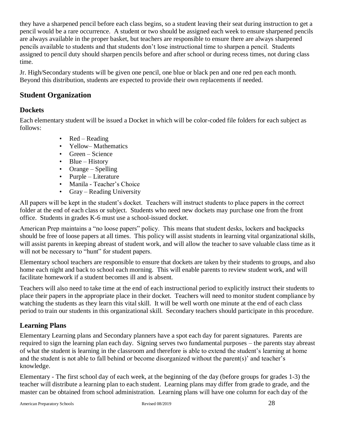they have a sharpened pencil before each class begins, so a student leaving their seat during instruction to get a pencil would be a rare occurrence. A student or two should be assigned each week to ensure sharpened pencils are always available in the proper basket, but teachers are responsible to ensure there are always sharpened pencils available to students and that students don't lose instructional time to sharpen a pencil. Students assigned to pencil duty should sharpen pencils before and after school or during recess times, not during class time.

Jr. High/Secondary students will be given one pencil, one blue or black pen and one red pen each month. Beyond this distribution, students are expected to provide their own replacements if needed.

#### <span id="page-27-0"></span>**Student Organization**

#### <span id="page-27-1"></span>**Dockets**

Each elementary student will be issued a Docket in which will be color-coded file folders for each subject as follows:

- Red Reading
- Yellow– Mathematics
- Green Science
- Blue History
- Orange Spelling
- Purple Literature
- Manila Teacher's Choice
- Gray Reading University

All papers will be kept in the student's docket. Teachers will instruct students to place papers in the correct folder at the end of each class or subject. Students who need new dockets may purchase one from the front office. Students in grades K-6 must use a school-issued docket.

American Prep maintains a "no loose papers" policy. This means that student desks, lockers and backpacks should be free of loose papers at all times. This policy will assist students in learning vital organizational skills, will assist parents in keeping abreast of student work, and will allow the teacher to save valuable class time as it will not be necessary to "hunt" for student papers.

Elementary school teachers are responsible to ensure that dockets are taken by their students to groups, and also home each night and back to school each morning. This will enable parents to review student work, and will facilitate homework if a student becomes ill and is absent.

Teachers will also need to take time at the end of each instructional period to explicitly instruct their students to place their papers in the appropriate place in their docket. Teachers will need to monitor student compliance by watching the students as they learn this vital skill. It will be well worth one minute at the end of each class period to train our students in this organizational skill. Secondary teachers should participate in this procedure.

## <span id="page-27-2"></span>**Learning Plans**

Elementary Learning plans and Secondary planners have a spot each day for parent signatures. Parents are required to sign the learning plan each day. Signing serves two fundamental purposes – the parents stay abreast of what the student is learning in the classroom and therefore is able to extend the student's learning at home and the student is not able to fall behind or become disorganized without the parent(s)' and teacher's knowledge.

Elementary - The first school day of each week, at the beginning of the day (before groups for grades 1-3) the teacher will distribute a learning plan to each student. Learning plans may differ from grade to grade, and the master can be obtained from school administration. Learning plans will have one column for each day of the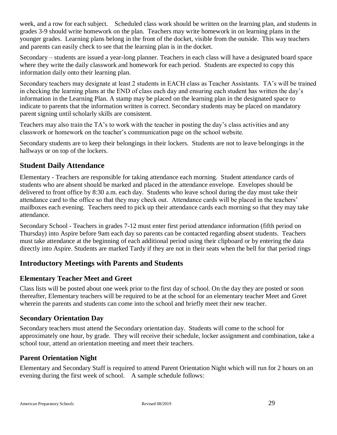week, and a row for each subject. Scheduled class work should be written on the learning plan, and students in grades 3-9 should write homework on the plan. Teachers may write homework in on learning plans in the younger grades. Learning plans belong in the front of the docket, visible from the outside. This way teachers and parents can easily check to see that the learning plan is in the docket.

Secondary – students are issued a year-long planner. Teachers in each class will have a designated board space where they write the daily classwork and homework for each period. Students are expected to copy this information daily onto their learning plan.

Secondary teachers may designate at least 2 students in EACH class as Teacher Assistants. TA's will be trained in checking the learning plans at the END of class each day and ensuring each student has written the day's information in the Learning Plan. A stamp may be placed on the learning plan in the designated space to indicate to parents that the information written is correct. Secondary students may be placed on mandatory parent signing until scholarly skills are consistent.

Teachers may also train the TA's to work with the teacher in posting the day's class activities and any classwork or homework on the teacher's communication page on the school website.

Secondary students are to keep their belongings in their lockers. Students are not to leave belongings in the hallways or on top of the lockers.

## <span id="page-28-0"></span>**Student Daily Attendance**

Elementary - Teachers are responsible for taking attendance each morning. Student attendance cards of students who are absent should be marked and placed in the attendance envelope. Envelopes should be delivered to front office by 8:30 a.m. each day. Students who leave school during the day must take their attendance card to the office so that they may check out. Attendance cards will be placed in the teachers' mailboxes each evening. Teachers need to pick up their attendance cards each morning so that they may take attendance.

Secondary School - Teachers in grades 7-12 must enter first period attendance information (fifth period on Thursday) into Aspire before 9am each day so parents can be contacted regarding absent students. Teachers must take attendance at the beginning of each additional period using their clipboard or by entering the data directly into Aspire. Students are marked Tardy if they are not in their seats when the bell for that period rings

#### <span id="page-28-1"></span>**Introductory Meetings with Parents and Students**

#### <span id="page-28-2"></span>**Elementary Teacher Meet and Greet**

Class lists will be posted about one week prior to the first day of school. On the day they are posted or soon thereafter, Elementary teachers will be required to be at the school for an elementary teacher Meet and Greet wherein the parents and students can come into the school and briefly meet their new teacher.

#### <span id="page-28-3"></span>**Secondary Orientation Day**

Secondary teachers must attend the Secondary orientation day. Students will come to the school for approximately one hour, by grade. They will receive their schedule, locker assignment and combination, take a school tour, attend an orientation meeting and meet their teachers.

#### <span id="page-28-4"></span>**Parent Orientation Night**

Elementary and Secondary Staff is required to attend Parent Orientation Night which will run for 2 hours on an evening during the first week of school. A sample schedule follows: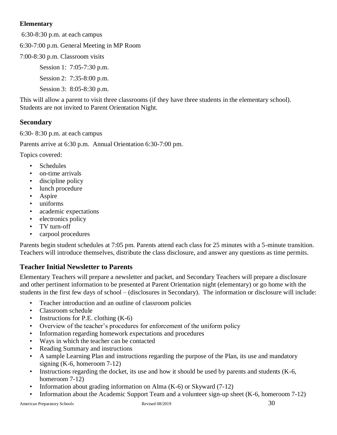#### **Elementary**

6:30-8:30 p.m. at each campus

6:30-7:00 p.m. General Meeting in MP Room

7:00-8:30 p.m. Classroom visits

Session 1: 7:05-7:30 p.m.

Session 2: 7:35-8:00 p.m.

Session 3: 8:05-8:30 p.m.

This will allow a parent to visit three classrooms (if they have three students in the elementary school). Students are not invited to Parent Orientation Night.

#### **Secondary**

6:30- 8:30 p.m. at each campus

Parents arrive at 6:30 p.m. Annual Orientation 6:30-7:00 pm.

Topics covered:

- Schedules
- on-time arrivals
- discipline policy
- lunch procedure
- **Aspire**
- uniforms
- academic expectations
- electronics policy
- TV turn-off
- carpool procedures

Parents begin student schedules at 7:05 pm. Parents attend each class for 25 minutes with a 5-minute transition. Teachers will introduce themselves, distribute the class disclosure, and answer any questions as time permits.

#### <span id="page-29-0"></span>**Teacher Initial Newsletter to Parents**

Elementary Teachers will prepare a newsletter and packet, and Secondary Teachers will prepare a disclosure and other pertinent information to be presented at Parent Orientation night (elementary) or go home with the students in the first few days of school – (disclosures in Secondary). The information or disclosure will include:

- Teacher introduction and an outline of classroom policies
- Classroom schedule
- Instructions for P.E. clothing  $(K-6)$
- Overview of the teacher's procedures for enforcement of the uniform policy
- Information regarding homework expectations and procedures
- Ways in which the teacher can be contacted
- Reading Summary and instructions
- A sample Learning Plan and instructions regarding the purpose of the Plan, its use and mandatory signing (K-6, homeroom 7-12)
- Instructions regarding the docket, its use and how it should be used by parents and students (K-6, homeroom 7-12)
- Information about grading information on Alma (K-6) or Skyward (7-12)
- Information about the Academic Support Team and a volunteer sign-up sheet (K-6, homeroom 7-12)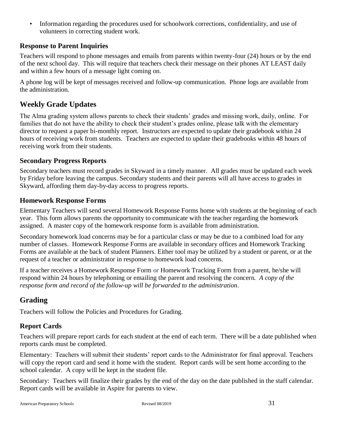• Information regarding the procedures used for schoolwork corrections, confidentiality, and use of volunteers in correcting student work.

#### <span id="page-30-0"></span>**Response to Parent Inquiries**

Teachers will respond to phone messages and emails from parents within twenty-four (24) hours or by the end of the next school day. This will require that teachers check their message on their phones AT LEAST daily and within a few hours of a message light coming on.

A phone log will be kept of messages received and follow-up communication. Phone logs are available from the administration.

### <span id="page-30-1"></span>**Weekly Grade Updates**

The Alma grading system allows parents to check their students' grades and missing work, daily, online. For families that do not have the ability to check their student's grades online, please talk with the elementary director to request a paper bi-monthly report. Instructors are expected to update their gradebook within 24 hours of receiving work from students. Teachers are expected to update their gradebooks within 48 hours of receiving work from their students.

#### <span id="page-30-2"></span>**Secondary Progress Reports**

Secondary teachers must record grades in Skyward in a timely manner. All grades must be updated each week by Friday before leaving the campus. Secondary students and their parents will all have access to grades in Skyward, affording them day-by-day access to progress reports.

#### <span id="page-30-3"></span>**Homework Response Forms**

Elementary Teachers will send several Homework Response Forms home with students at the beginning of each year. This form allows parents the opportunity to communicate with the teacher regarding the homework assigned. A master copy of the homework response form is available from administration.

Secondary homework load concerns may be for a particular class or may be due to a combined load for any number of classes. Homework Response Forms are available in secondary offices and Homework Tracking Forms are available at the back of student Planners. Either tool may be utilized by a student or parent, or at the request of a teacher or administrator in response to homework load concerns.

If a teacher receives a Homework Response Form or Homework Tracking Form from a parent, he/she will respond within 24 hours by telephoning or emailing the parent and resolving the concern. *A copy of the response form and record of the follow-up will be forwarded to the administration*.

## <span id="page-30-4"></span>**Grading**

Teachers will follow the Policies and Procedures for Grading.

#### <span id="page-30-5"></span>**Report Cards**

Teachers will prepare report cards for each student at the end of each term. There will be a date published when reports cards must be completed.

Elementary: Teachers will submit their students' report cards to the Administrator for final approval. Teachers will copy the report card and send it home with the student. Report cards will be sent home according to the school calendar. A copy will be kept in the student file.

Secondary: Teachers will finalize their grades by the end of the day on the date published in the staff calendar. Report cards will be available in Aspire for parents to view.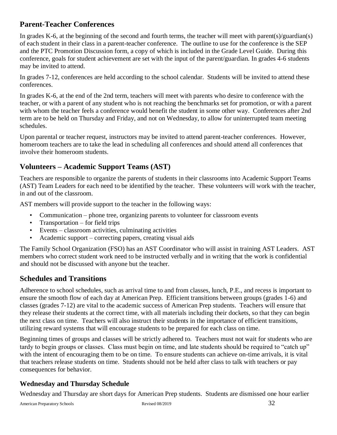## <span id="page-31-0"></span>**Parent-Teacher Conferences**

In grades K-6, at the beginning of the second and fourth terms, the teacher will meet with parent(s)/guardian(s) of each student in their class in a parent-teacher conference. The outline to use for the conference is the SEP and the PTC Promotion Discussion form, a copy of which is included in the Grade Level Guide. During this conference, goals for student achievement are set with the input of the parent/guardian. In grades 4-6 students may be invited to attend.

In grades 7-12, conferences are held according to the school calendar. Students will be invited to attend these conferences.

In grades K-6, at the end of the 2nd term, teachers will meet with parents who desire to conference with the teacher, or with a parent of any student who is not reaching the benchmarks set for promotion, or with a parent with whom the teacher feels a conference would benefit the student in some other way. Conferences after 2nd term are to be held on Thursday and Friday, and not on Wednesday, to allow for uninterrupted team meeting schedules.

Upon parental or teacher request, instructors may be invited to attend parent-teacher conferences. However, homeroom teachers are to take the lead in scheduling all conferences and should attend all conferences that involve their homeroom students.

## <span id="page-31-1"></span>**Volunteers – Academic Support Teams (AST)**

Teachers are responsible to organize the parents of students in their classrooms into Academic Support Teams (AST) Team Leaders for each need to be identified by the teacher. These volunteers will work with the teacher, in and out of the classroom.

AST members will provide support to the teacher in the following ways:

- Communication phone tree, organizing parents to volunteer for classroom events
- Transportation for field trips
- Events classroom activities, culminating activities
- Academic support correcting papers, creating visual aids

The Family School Organization (FSO) has an AST Coordinator who will assist in training AST Leaders. AST members who correct student work need to be instructed verbally and in writing that the work is confidential and should not be discussed with anyone but the teacher.

## <span id="page-31-2"></span>**Schedules and Transitions**

Adherence to school schedules, such as arrival time to and from classes, lunch, P.E., and recess is important to ensure the smooth flow of each day at American Prep. Efficient transitions between groups (grades 1-6) and classes (grades 7-12) are vital to the academic success of American Prep students. Teachers will ensure that they release their students at the correct time, with all materials including their dockets, so that they can begin the next class on time. Teachers will also instruct their students in the importance of efficient transitions, utilizing reward systems that will encourage students to be prepared for each class on time.

Beginning times of groups and classes will be strictly adhered to. Teachers must not wait for students who are tardy to begin groups or classes. Class must begin on time, and late students should be required to "catch up" with the intent of encouraging them to be on time. To ensure students can achieve on-time arrivals, it is vital that teachers release students on time. Students should not be held after class to talk with teachers or pay consequences for behavior.

## <span id="page-31-3"></span>**Wednesday and Thursday Schedule**

Wednesday and Thursday are short days for American Prep students. Students are dismissed one hour earlier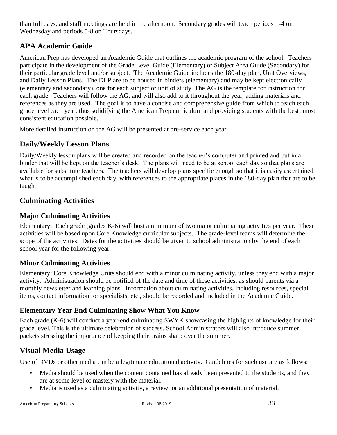than full days, and staff meetings are held in the afternoon. Secondary grades will teach periods 1-4 on Wednesday and periods 5-8 on Thursdays.

## <span id="page-32-0"></span>**APA Academic Guide**

American Prep has developed an Academic Guide that outlines the academic program of the school. Teachers participate in the development of the Grade Level Guide (Elementary) or Subject Area Guide (Secondary) for their particular grade level and/or subject. The Academic Guide includes the 180-day plan, Unit Overviews, and Daily Lesson Plans. The DLP are to be housed in binders (elementary) and may be kept electronically (elementary and secondary), one for each subject or unit of study. The AG is the template for instruction for each grade. Teachers will follow the AG, and will also add to it throughout the year, adding materials and references as they are used. The goal is to have a concise and comprehensive guide from which to teach each grade level each year, thus solidifying the American Prep curriculum and providing students with the best, most consistent education possible.

More detailed instruction on the AG will be presented at pre-service each year.

## <span id="page-32-1"></span>**Daily/Weekly Lesson Plans**

Daily/Weekly lesson plans will be created and recorded on the teacher's computer and printed and put in a binder that will be kept on the teacher's desk. The plans will need to be at school each day so that plans are available for substitute teachers. The teachers will develop plans specific enough so that it is easily ascertained what is to be accomplished each day, with references to the appropriate places in the 180-day plan that are to be taught.

## <span id="page-32-2"></span>**Culminating Activities**

#### <span id="page-32-3"></span>**Major Culminating Activities**

Elementary: Each grade (grades K-6) will host a minimum of two major culminating activities per year. These activities will be based upon Core Knowledge curricular subjects. The grade-level teams will determine the scope of the activities. Dates for the activities should be given to school administration by the end of each school year for the following year.

#### <span id="page-32-4"></span>**Minor Culminating Activities**

Elementary: Core Knowledge Units should end with a minor culminating activity, unless they end with a major activity. Administration should be notified of the date and time of these activities, as should parents via a monthly newsletter and learning plans. Information about culminating activities, including resources, special items, contact information for specialists, etc., should be recorded and included in the Academic Guide.

#### <span id="page-32-5"></span>**Elementary Year End Culminating Show What You Know**

Each grade (K-6) will conduct a year-end culminating SWYK showcasing the highlights of knowledge for their grade level. This is the ultimate celebration of success. School Administrators will also introduce summer packets stressing the importance of keeping their brains sharp over the summer.

## <span id="page-32-6"></span>**Visual Media Usage**

Use of DVDs or other media can be a legitimate educational activity. Guidelines for such use are as follows:

- Media should be used when the content contained has already been presented to the students, and they are at some level of mastery with the material.
- Media is used as a culminating activity, a review, or an additional presentation of material.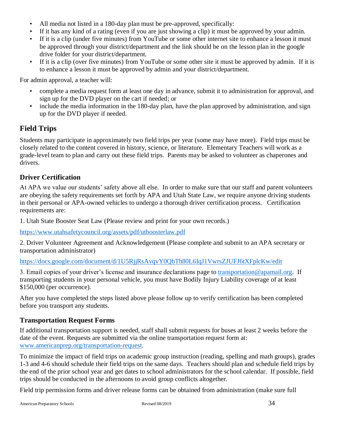- All media not listed in a 180-day plan must be pre-approved, specifically:
- If it has any kind of a rating (even if you are just showing a clip) it must be approved by your admin.
- If it is a clip (under five minutes) from YouTube or some other internet site to enhance a lesson it must be approved through your district/department and the link should be on the lesson plan in the google drive folder for your district/department.
- If it is a clip (over five minutes) from YouTube or some other site it must be approved by admin. If it is to enhance a lesson it must be approved by admin and your district/department.

For admin approval, a teacher will:

- complete a media request form at least one day in advance, submit it to administration for approval, and sign up for the DVD player on the cart if needed; or
- include the media information in the 180-day plan, have the plan approved by administration, and sign up for the DVD player if needed.

### <span id="page-33-0"></span>**Field Trips**

Students may participate in approximately two field trips per year (some may have more). Field trips must be closely related to the content covered in history, science, or literature. Elementary Teachers will work as a grade-level team to plan and carry out these field trips. Parents may be asked to volunteer as chaperones and drivers.

#### <span id="page-33-1"></span>**Driver Certification**

At APA we value our students' safety above all else. In order to make sure that our staff and parent volunteers are obeying the safety requirements set forth by APA and Utah State Law, we require anyone driving students in their personal or APA-owned vehicles to undergo a thorough driver certification process. Certification requirements are:

1. Utah State Booster Seat Law (Please review and print for your own records.)

[https://www.utahsafetycouncil.org/assets/pdf/utboosterlaw.pdf](https://www.utahsafetycouncil.org/uploads/PDFs/utboosterlaw.pdf)

2. Driver Volunteer Agreement and Acknowledgement (Please complete and submit to an APA secretary or transportation administrator)

<https://docs.google.com/document/d/1U5RjjRsAvqvY0QbTh80L6IqJ1VwrsZJUFJ6tXFplcKw/edit>

3. Email copies of your driver's license and insurance declarations page to [transportation@apamail.org.](mailto:transportation@apamail.org) If transporting students in your personal vehicle, you must have Bodily Injury Liability coverage of at least \$150,000 (per occurrence).

After you have completed the steps listed above please follow up to verify certification has been completed before you transport any students.

#### <span id="page-33-2"></span>**Transportation Request Forms**

If additional transportation support is needed, staff shall submit requests for buses at least 2 weeks before the date of the event. Requests are submitted via the online transportation request form at[:](http://www.americanprep.org/transportation-request) [www.americanprep.org/transportation-request.](http://www.americanprep.org/transportation-request)

To minimize the impact of field trips on academic group instruction (reading, spelling and math groups), grades 1-3 and 4-6 should schedule their field trips on the same days. Teachers should plan and schedule field trips by the end of the prior school year and get dates to school administrators for the school calendar. If possible, field trips should be conducted in the afternoons to avoid group conflicts altogether.

Field trip permission forms and driver release forms can be obtained from administration (make sure full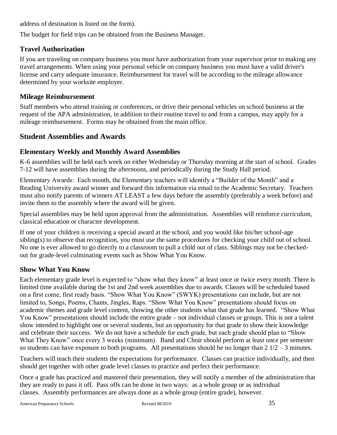address of destination is listed on the form).

The budget for field trips can be obtained from the Business Manager.

#### <span id="page-34-0"></span>**Travel Authorization**

If you are traveling on company business you must have authorization from your supervisor prior to making any travel arrangements. When using your personal vehicle on company business you must have a valid driver's license and carry adequate insurance. Reimbursement for travel will be according to the mileage allowance determined by your worksite employer.

#### <span id="page-34-1"></span>**Mileage Reimbursement**

Staff members who attend training or conferences, or drive their personal vehicles on school business at the request of the APA administration, in addition to their routine travel to and from a campus, may apply for a mileage reimbursement. Forms may be obtained from the main office.

#### <span id="page-34-2"></span>**Student Assemblies and Awards**

#### <span id="page-34-3"></span>**Elementary Weekly and Monthly Award Assemblies**

K-6 assemblies will be held each week on either Wednesday or Thursday morning at the start of school. Grades 7-12 will have assemblies during the afternoons, and periodically during the Study Hall period.

Elementary Awards: Each month, the Elementary teachers will identify a "Builder of the Month" and a Reading University award winner and forward this information via email to the Academic Secretary. Teachers must also notify parents of winners AT LEAST a few days before the assembly (preferably a week before) and invite them to the assembly where the award will be given.

Special assemblies may be held upon approval from the administration. Assemblies will reinforce curriculum, classical education or character development.

If one of your children is receiving a special award at the school, and you would like his/her school-age sibling(s) to observe that recognition, you must use the same procedures for checking your child out of school. No one is ever allowed to go directly to a classroom to pull a child out of class. Siblings may not be checkedout for grade-level culminating events such as Show What You Know.

#### <span id="page-34-4"></span>**Show What You Know**

Each elementary grade level is expected to "show what they know" at least once or twice every month. There is limited time available during the 1st and 2nd week assemblies due to awards. Classes will be scheduled based on a first come, first ready basis. "Show What You Know" (SWYK) presentations can include, but are not limited to, Songs, Poems, Chants, Jingles, Raps. "Show What You Know" presentations should focus on academic themes and grade level content, showing the other students what that grade has learned. "Show What You Know" presentations should include the entire grade – not individual classes or groups. This is not a talent show intended to highlight one or several students, but an opportunity for that grade to show their knowledge and celebrate their success. We do not have a schedule for each grade, but each grade should plan to "Show What They Know" once every 3 weeks (minimum). Band and Choir should perform at least once per semester so students can have exposure to both programs. All presentations should be no longer than  $2 \frac{1}{2} - 3$  minutes.

Teachers will teach their students the expectations for performance. Classes can practice individually, and then should get together with other grade level classes to practice and perfect their performance.

Once a grade has practiced and mastered their presentation, they will notify a member of the administration that they are ready to pass it off. Pass offs can be done in two ways: as a whole group or as individual classes. Assembly performances are always done as a whole group (entire grade), however.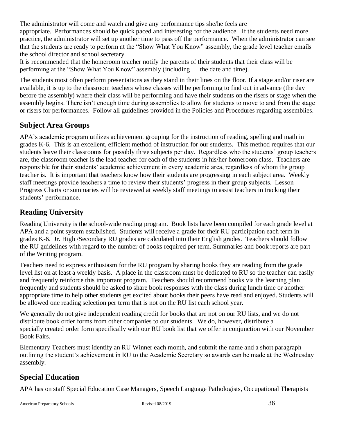The administrator will come and watch and give any performance tips she/he feels are appropriate. Performances should be quick paced and interesting for the audience. If the students need more practice, the administrator will set up another time to pass off the performance. When the administrator can see that the students are ready to perform at the "Show What You Know" assembly, the grade level teacher emails the school director and school secretary.

It is recommended that the homeroom teacher notify the parents of their students that their class will be performing at the "Show What You Know" assembly (including the date and time).

The students most often perform presentations as they stand in their lines on the floor. If a stage and/or riser are available, it is up to the classroom teachers whose classes will be performing to find out in advance (the day before the assembly) where their class will be performing and have their students on the risers or stage when the assembly begins. There isn't enough time during assemblies to allow for students to move to and from the stage or risers for performances. Follow all guidelines provided in the Policies and Procedures regarding assemblies.

#### <span id="page-35-0"></span>**Subject Area Groups**

APA's academic program utilizes achievement grouping for the instruction of reading, spelling and math in grades K-6. This is an excellent, efficient method of instruction for our students. This method requires that our students leave their classrooms for possibly three subjects per day. Regardless who the students' group teachers are, the classroom teacher is the lead teacher for each of the students in his/her homeroom class. Teachers are responsible for their students' academic achievement in every academic area, regardless of whom the group teacher is. It is important that teachers know how their students are progressing in each subject area. Weekly staff meetings provide teachers a time to review their students' progress in their group subjects. Lesson Progress Charts or summaries will be reviewed at weekly staff meetings to assist teachers in tracking their students' performance.

## <span id="page-35-1"></span>**Reading University**

Reading University is the school-wide reading program. Book lists have been compiled for each grade level at APA and a point system established. Students will receive a grade for their RU participation each term in grades K-6. Jr. High /Secondary RU grades are calculated into their English grades. Teachers should follow the RU guidelines with regard to the number of books required per term. Summaries and book reports are part of the Writing program.

Teachers need to express enthusiasm for the RU program by sharing books they are reading from the grade level list on at least a weekly basis. A place in the classroom must be dedicated to RU so the teacher can easily and frequently reinforce this important program. Teachers should recommend books via the learning plan frequently and students should be asked to share book responses with the class during lunch time or another appropriate time to help other students get excited about books their peers have read and enjoyed. Students will be allowed one reading selection per term that is not on the RU list each school year.

We generally do not give independent reading credit for books that are not on our RU lists, and we do not distribute book order forms from other companies to our students. We do, however, distribute a specially created order form specifically with our RU book list that we offer in conjunction with our November Book Fairs.

Elementary Teachers must identify an RU Winner each month, and submit the name and a short paragraph outlining the student's achievement in RU to the Academic Secretary so awards can be made at the Wednesday assembly.

## <span id="page-35-2"></span>**Special Education**

APA has on staff Special Education Case Managers, Speech Language Pathologists, Occupational Therapists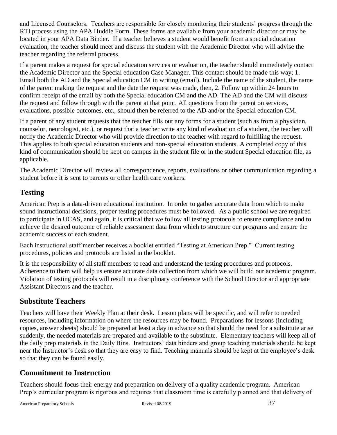and Licensed Counselors. Teachers are responsible for closely monitoring their students' progress through the RTI process using the APA Huddle Form. These forms are available from your academic director or may be located in your APA Data Binder. If a teacher believes a student would benefit from a special education evaluation, the teacher should meet and discuss the student with the Academic Director who will advise the teacher regarding the referral process.

If a parent makes a request for special education services or evaluation, the teacher should immediately contact the Academic Director and the Special education Case Manager. This contact should be made this way; 1. Email both the AD and the Special education CM in writing (email). Include the name of the student, the name of the parent making the request and the date the request was made, then, 2. Follow up within 24 hours to confirm receipt of the email by both the Special education CM and the AD. The AD and the CM will discuss the request and follow through with the parent at that point. All questions from the parent on services, evaluations, possible outcomes, etc., should then be referred to the AD and/or the Special education CM.

If a parent of any student requests that the teacher fills out any forms for a student (such as from a physician, counselor, neurologist, etc.), or request that a teacher write any kind of evaluation of a student, the teacher will notify the Academic Director who will provide direction to the teacher with regard to fulfilling the request. This applies to both special education students and non-special education students. A completed copy of this kind of communication should be kept on campus in the student file or in the student Special education file, as applicable.

The Academic Director will review all correspondence, reports, evaluations or other communication regarding a student before it is sent to parents or other health care workers.

## <span id="page-36-0"></span>**Testing**

American Prep is a data-driven educational institution. In order to gather accurate data from which to make sound instructional decisions, proper testing procedures must be followed. As a public school we are required to participate in UCAS, and again, it is critical that we follow all testing protocols to ensure compliance and to achieve the desired outcome of reliable assessment data from which to structure our programs and ensure the academic success of each student.

Each instructional staff member receives a booklet entitled "Testing at American Prep." Current testing procedures, policies and protocols are listed in the booklet.

It is the responsibility of all staff members to read and understand the testing procedures and protocols. Adherence to them will help us ensure accurate data collection from which we will build our academic program. Violation of testing protocols will result in a disciplinary conference with the School Director and appropriate Assistant Directors and the teacher.

## <span id="page-36-1"></span>**Substitute Teachers**

Teachers will have their Weekly Plan at their desk. Lesson plans will be specific, and will refer to needed resources, including information on where the resources may be found. Preparations for lessons (including copies, answer sheets) should be prepared at least a day in advance so that should the need for a substitute arise suddenly, the needed materials are prepared and available to the substitute. Elementary teachers will keep all of the daily prep materials in the Daily Bins. Instructors' data binders and group teaching materials should be kept near the Instructor's desk so that they are easy to find. Teaching manuals should be kept at the employee's desk so that they can be found easily.

## <span id="page-36-2"></span>**Commitment to Instruction**

Teachers should focus their energy and preparation on delivery of a quality academic program. American Prep's curricular program is rigorous and requires that classroom time is carefully planned and that delivery of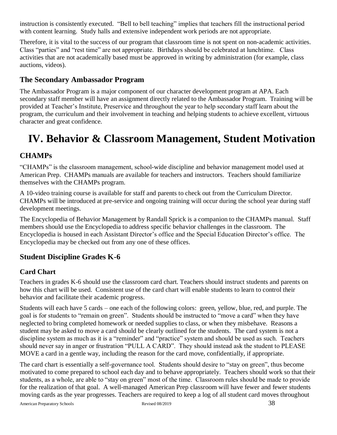instruction is consistently executed. "Bell to bell teaching" implies that teachers fill the instructional period with content learning. Study halls and extensive independent work periods are not appropriate.

Therefore, it is vital to the success of our program that classroom time is not spent on non-academic activities. Class "parties" and "rest time" are not appropriate. Birthdays should be celebrated at lunchtime. Class activities that are not academically based must be approved in writing by administration (for example, class auctions, videos).

### <span id="page-37-0"></span>**The Secondary Ambassador Program**

The Ambassador Program is a major component of our character development program at APA. Each secondary staff member will have an assignment directly related to the Ambassador Program. Training will be provided at Teacher's Institute, Preservice and throughout the year to help secondary staff learn about the program, the curriculum and their involvement in teaching and helping students to achieve excellent, virtuous character and great confidence.

## <span id="page-37-1"></span>**IV. Behavior & Classroom Management, Student Motivation**

## <span id="page-37-2"></span>**CHAMPs**

"CHAMPs" is the classroom management, school-wide discipline and behavior management model used at American Prep. CHAMPs manuals are available for teachers and instructors. Teachers should familiarize themselves with the CHAMPs program.

A 10-video training course is available for staff and parents to check out from the Curriculum Director. CHAMPs will be introduced at pre-service and ongoing training will occur during the school year during staff development meetings.

The Encyclopedia of Behavior Management by Randall Sprick is a companion to the CHAMPs manual. Staff members should use the Encyclopedia to address specific behavior challenges in the classroom. The Encyclopedia is housed in each Assistant Director's office and the Special Education Director's office. The Encyclopedia may be checked out from any one of these offices.

## <span id="page-37-3"></span>**Student Discipline Grades K-6**

#### <span id="page-37-4"></span>**Card Chart**

Teachers in grades K-6 should use the classroom card chart. Teachers should instruct students and parents on how this chart will be used. Consistent use of the card chart will enable students to learn to control their behavior and facilitate their academic progress.

Students will each have 5 cards – one each of the following colors: green, yellow, blue, red, and purple. The goal is for students to "remain on green". Students should be instructed to "move a card" when they have neglected to bring completed homework or needed supplies to class, or when they misbehave. Reasons a student may be asked to move a card should be clearly outlined for the students. The card system is not a discipline system as much as it is a "reminder" and "practice" system and should be used as such. Teachers should never say in anger or frustration "PULL A CARD". They should instead ask the student to PLEASE MOVE a card in a gentle way, including the reason for the card move, confidentially, if appropriate.

The card chart is essentially a self-governance tool. Students should desire to "stay on green", thus become motivated to come prepared to school each day and to behave appropriately. Teachers should work so that their students, as a whole, are able to "stay on green" most of the time. Classroom rules should be made to provide for the realization of that goal. A well-managed American Prep classroom will have fewer and fewer students moving cards as the year progresses. Teachers are required to keep a log of all student card moves throughout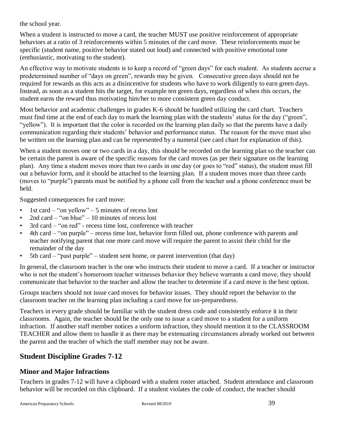the school year.

When a student is instructed to move a card, the teacher MUST use positive reinforcement of appropriate behaviors at a ratio of 3 reinforcements within 5 minutes of the card move. These reinforcements must be specific (student name, positive behavior stated out loud) and connected with positive emotional tone (enthusiastic, motivating to the student).

An effective way to motivate students is to keep a record of "green days" for each student. As students accrue a predetermined number of "days on green", rewards may be given. Consecutive green days should not be required for rewards as this acts as a disincentive for students who have to work diligently to earn green days. Instead, as soon as a student hits the target, for example ten green days, regardless of when this occurs, the student earns the reward thus motivating him/her to more consistent green day conduct.

Most behavior and academic challenges in grades K-6 should be handled utilizing the card chart. Teachers must find time at the end of each day to mark the learning plan with the students' status for the day ("green", "vellow"). It is important that the color is recorded on the learning plan daily so that the parents have a daily communication regarding their students' behavior and performance status. The reason for the move must also be written on the learning plan and can be represented by a numeral (see card chart for explanation of this).

When a student moves one or two cards in a day, this should be recorded on the learning plan so the teacher can be certain the parent is aware of the specific reasons for the card moves (as per their signature on the learning plan). Any time a student moves more than two cards in one day (or goes to "red" status), the student must fill out a behavior form, and it should be attached to the learning plan. If a student moves more than three cards (moves to "purple") parents must be notified by a phone call from the teacher and a phone conference must be held.

Suggested consequences for card move:

- 1st card "on yellow" 5 minutes of recess lost
- 2nd card "on blue" 10 minutes of recess lost
- 3rd card "on red" recess time lost, conference with teacher
- 4th card "on purple" recess time lost, behavior form filled out, phone conference with parents and teacher notifying parent that one more card move will require the parent to assist their child for the remainder of the day
- 5th card "past purple" student sent home, or parent intervention (that day)

In general, the classroom teacher is the one who instructs their student to move a card. If a teacher or instructor who is not the student's homeroom teacher witnesses behavior they believe warrants a card move, they should communicate that behavior to the teacher and allow the teacher to determine if a card move is the best option.

Groups teachers should not issue card moves for behavior issues. They should report the behavior to the classroom teacher on the learning plan including a card move for un-preparedness.

Teachers in every grade should be familiar with the student dress code and consistently enforce it in their classrooms. Again, the teacher should be the only one to issue a card move to a student for a uniform infraction. If another staff member notices a uniform infraction, they should mention it to the CLASSROOM TEACHER and allow them to handle it as there may be extenuating circumstances already worked out between the parent and the teacher of which the staff member may not be aware.

## <span id="page-38-0"></span>**Student Discipline Grades 7-12**

#### <span id="page-38-1"></span>**Minor and Major Infractions**

Teachers in grades 7-12 will have a clipboard with a student roster attached. Student attendance and classroom behavior will be recorded on this clipboard. If a student violates the code of conduct, the teacher should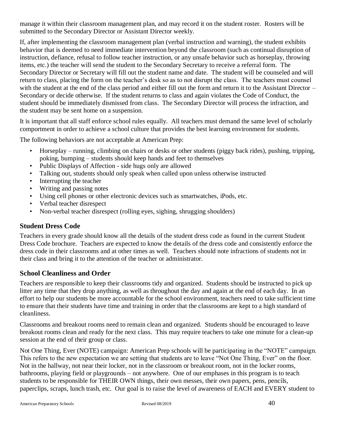manage it within their classroom management plan, and may record it on the student roster. Rosters will be submitted to the Secondary Director or Assistant Director weekly.

If, after implementing the classroom management plan (verbal instruction and warning), the student exhibits behavior that is deemed to need immediate intervention beyond the classroom (such as continual disruption of instruction, defiance, refusal to follow teacher instruction, or any unsafe behavior such as horseplay, throwing items, etc.) the teacher will send the student to the Secondary Secretary to receive a referral form. The Secondary Director or Secretary will fill out the student name and date. The student will be counseled and will return to class, placing the form on the teacher's desk so as to not disrupt the class. The teachers must counsel with the student at the end of the class period and either fill out the form and return it to the Assistant Director – Secondary or decide otherwise. If the student returns to class and again violates the Code of Conduct, the student should be immediately dismissed from class. The Secondary Director will process the infraction, and the student may be sent home on a suspension.

It is important that all staff enforce school rules equally. All teachers must demand the same level of scholarly comportment in order to achieve a school culture that provides the best learning environment for students.

The following behaviors are not acceptable at American Prep:

- Horseplay running, climbing on chairs or desks or other students (piggy back rides), pushing, tripping, poking, bumping – students should keep hands and feet to themselves
- Public Displays of Affection side hugs only are allowed
- Talking out, students should only speak when called upon unless otherwise instructed
- Interrupting the teacher
- Writing and passing notes
- Using cell phones or other electronic devices such as smartwatches, iPods, etc.
- Verbal teacher disrespect
- Non-verbal teacher disrespect (rolling eyes, sighing, shrugging shoulders)

#### <span id="page-39-0"></span>**Student Dress Code**

Teachers in every grade should know all the details of the student dress code as found in the current Student Dress Code brochure. Teachers are expected to know the details of the dress code and consistently enforce the dress code in their classrooms and at other times as well. Teachers should note infractions of students not in their class and bring it to the attention of the teacher or administrator.

#### <span id="page-39-1"></span>**School Cleanliness and Order**

Teachers are responsible to keep their classrooms tidy and organized. Students should be instructed to pick up litter any time that they drop anything, as well as throughout the day and again at the end of each day. In an effort to help our students be more accountable for the school environment, teachers need to take sufficient time to ensure that their students have time and training in order that the classrooms are kept to a high standard of cleanliness.

Classrooms and breakout rooms need to remain clean and organized. Students should be encouraged to leave breakout rooms clean and ready for the next class. This may require teachers to take one minute for a clean-up session at the end of their group or class.

Not One Thing, Ever (NOTE) campaign: American Prep schools will be participating in the "NOTE" campaign. This refers to the new expectation we are setting that students are to leave "Not One Thing, Ever" on the floor. Not in the hallway, not near their locker, not in the classroom or breakout room, not in the locker rooms, bathrooms, playing field or playgrounds – not anywhere. One of our emphases in this program is to teach students to be responsible for THEIR OWN things, their own messes, their own papers, pens, pencils, paperclips, scraps, lunch trash, etc. Our goal is to raise the level of awareness of EACH and EVERY student to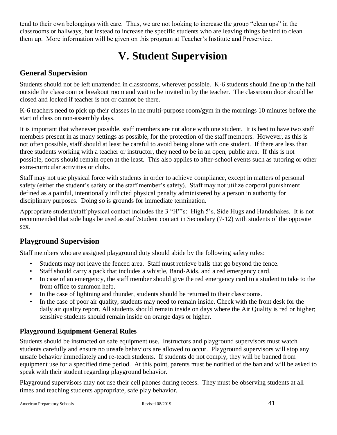tend to their own belongings with care. Thus, we are not looking to increase the group "clean ups" in the classrooms or hallways, but instead to increase the specific students who are leaving things behind to clean them up. More information will be given on this program at Teacher's Institute and Preservice.

## **V. Student Supervision**

### <span id="page-40-1"></span><span id="page-40-0"></span>**General Supervision**

Students should not be left unattended in classrooms, wherever possible. K-6 students should line up in the hall outside the classroom or breakout room and wait to be invited in by the teacher. The classroom door should be closed and locked if teacher is not or cannot be there.

K-6 teachers need to pick up their classes in the multi-purpose room/gym in the mornings 10 minutes before the start of class on non-assembly days.

It is important that whenever possible, staff members are not alone with one student. It is best to have two staff members present in as many settings as possible, for the protection of the staff members. However, as this is not often possible, staff should at least be careful to avoid being alone with one student. If there are less than three students working with a teacher or instructor, they need to be in an open, public area. If this is not possible, doors should remain open at the least. This also applies to after-school events such as tutoring or other extra-curricular activities or clubs.

Staff may not use physical force with students in order to achieve compliance, except in matters of personal safety (either the student's safety or the staff member's safety). Staff may not utilize corporal punishment defined as a painful, intentionally inflicted physical penalty administered by a person in authority for disciplinary purposes. Doing so is grounds for immediate termination.

Appropriate student/staff physical contact includes the 3 "H"'s: High 5's, Side Hugs and Handshakes. It is not recommended that side hugs be used as staff/student contact in Secondary (7-12) with students of the opposite sex.

## <span id="page-40-2"></span>**Playground Supervision**

Staff members who are assigned playground duty should abide by the following safety rules:

- Students may not leave the fenced area. Staff must retrieve balls that go beyond the fence.
- Staff should carry a pack that includes a whistle, Band-Aids, and a red emergency card.
- In case of an emergency, the staff member should give the red emergency card to a student to take to the front office to summon help.
- In the case of lightning and thunder, students should be returned to their classrooms.
- In the case of poor air quality, students may need to remain inside. Check with the front desk for the daily air quality report. All students should remain inside on days where the Air Quality is red or higher; sensitive students should remain inside on orange days or higher.

#### <span id="page-40-3"></span>**Playground Equipment General Rules**

Students should be instructed on safe equipment use. Instructors and playground supervisors must watch students carefully and ensure no unsafe behaviors are allowed to occur. Playground supervisors will stop any unsafe behavior immediately and re-teach students. If students do not comply, they will be banned from equipment use for a specified time period. At this point, parents must be notified of the ban and will be asked to speak with their student regarding playground behavior.

Playground supervisors may not use their cell phones during recess. They must be observing students at all times and teaching students appropriate, safe play behavior.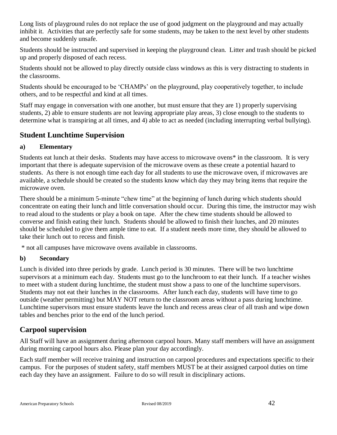Long lists of playground rules do not replace the use of good judgment on the playground and may actually inhibit it. Activities that are perfectly safe for some students, may be taken to the next level by other students and become suddenly unsafe.

Students should be instructed and supervised in keeping the playground clean. Litter and trash should be picked up and properly disposed of each recess.

Students should not be allowed to play directly outside class windows as this is very distracting to students in the classrooms.

Students should be encouraged to be 'CHAMPs' on the playground, play cooperatively together, to include others, and to be respectful and kind at all times.

Staff may engage in conversation with one another, but must ensure that they are 1) properly supervising students, 2) able to ensure students are not leaving appropriate play areas, 3) close enough to the students to determine what is transpiring at all times, and 4) able to act as needed (including interrupting verbal bullying).

## <span id="page-41-0"></span>**Student Lunchtime Supervision**

#### **a) Elementary**

Students eat lunch at their desks. Students may have access to microwave ovens\* in the classroom. It is very important that there is adequate supervision of the microwave ovens as these create a potential hazard to students. As there is not enough time each day for all students to use the microwave oven, if microwaves are available, a schedule should be created so the students know which day they may bring items that require the microwave oven.

There should be a minimum 5-minute "chew time" at the beginning of lunch during which students should concentrate on eating their lunch and little conversation should occur. During this time, the instructor may wish to read aloud to the students or play a book on tape. After the chew time students should be allowed to converse and finish eating their lunch. Students should be allowed to finish their lunches, and 20 minutes should be scheduled to give them ample time to eat. If a student needs more time, they should be allowed to take their lunch out to recess and finish.

\* not all campuses have microwave ovens available in classrooms.

#### **b) Secondary**

Lunch is divided into three periods by grade. Lunch period is 30 minutes. There will be two lunchtime supervisors at a minimum each day. Students must go to the lunchroom to eat their lunch. If a teacher wishes to meet with a student during lunchtime, the student must show a pass to one of the lunchtime supervisors. Students may not eat their lunches in the classrooms. After lunch each day, students will have time to go outside (weather permitting) but MAY NOT return to the classroom areas without a pass during lunchtime. Lunchtime supervisors must ensure students leave the lunch and recess areas clear of all trash and wipe down tables and benches prior to the end of the lunch period.

#### <span id="page-41-1"></span>**Carpool supervision**

All Staff will have an assignment during afternoon carpool hours. Many staff members will have an assignment during morning carpool hours also. Please plan your day accordingly.

Each staff member will receive training and instruction on carpool procedures and expectations specific to their campus. For the purposes of student safety, staff members MUST be at their assigned carpool duties on time each day they have an assignment. Failure to do so will result in disciplinary actions.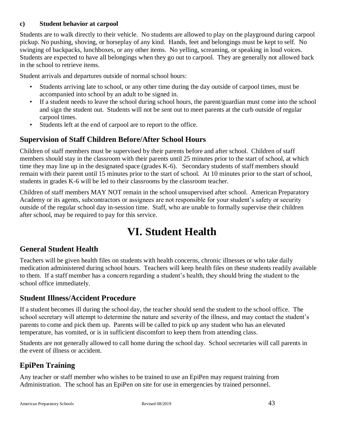#### **c) Student behavior at carpool**

Students are to walk directly to their vehicle. No students are allowed to play on the playground during carpool pickup. No pushing, shoving, or horseplay of any kind. Hands, feet and belongings must be kept to self. No swinging of backpacks, lunchboxes, or any other items. No yelling, screaming, or speaking in loud voices. Students are expected to have all belongings when they go out to carpool. They are generally not allowed back in the school to retrieve items.

Student arrivals and departures outside of normal school hours:

- Students arriving late to school, or any other time during the day outside of carpool times, must be accompanied into school by an adult to be signed in.
- If a student needs to leave the school during school hours, the parent/guardian must come into the school and sign the student out. Students will not be sent out to meet parents at the curb outside of regular carpool times.
- Students left at the end of carpool are to report to the office.

## <span id="page-42-0"></span>**Supervision of Staff Children Before/After School Hours**

Children of staff members must be supervised by their parents before and after school. Children of staff members should stay in the classroom with their parents until 25 minutes prior to the start of school, at which time they may line up in the designated space (grades K-6). Secondary students of staff members should remain with their parent until 15 minutes prior to the start of school. At 10 minutes prior to the start of school, students in grades K-6 will be led to their classrooms by the classroom teacher.

Children of staff members MAY NOT remain in the school unsupervised after school. American Preparatory Academy or its agents, subcontractors or assignees are not responsible for your student's safety or security outside of the regular school day in-session time. Staff, who are unable to formally supervise their children after school, may be required to pay for this service.

## **VI. Student Health**

## <span id="page-42-2"></span><span id="page-42-1"></span>**General Student Health**

Teachers will be given health files on students with health concerns, chronic illnesses or who take daily medication administered during school hours. Teachers will keep health files on these students readily available to them. If a staff member has a concern regarding a student's health, they should bring the student to the school office immediately.

## <span id="page-42-3"></span>**Student Illness/Accident Procedure**

If a student becomes ill during the school day, the teacher should send the student to the school office. The school secretary will attempt to determine the nature and severity of the illness, and may contact the student's parents to come and pick them up. Parents will be called to pick up any student who has an elevated temperature, has vomited, or is in sufficient discomfort to keep them from attending class.

Students are not generally allowed to call home during the school day. School secretaries will call parents in the event of illness or accident.

## <span id="page-42-4"></span>**EpiPen Training**

Any teacher or staff member who wishes to be trained to use an EpiPen may request training from Administration. The school has an EpiPen on site for use in emergencies by trained personnel.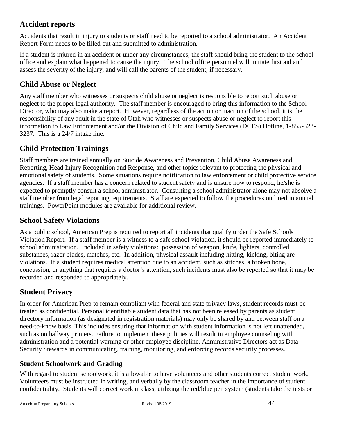### <span id="page-43-0"></span>**Accident reports**

Accidents that result in injury to students or staff need to be reported to a school administrator. An Accident Report Form needs to be filled out and submitted to administration.

If a student is injured in an accident or under any circumstances, the staff should bring the student to the school office and explain what happened to cause the injury. The school office personnel will initiate first aid and assess the severity of the injury, and will call the parents of the student, if necessary.

### <span id="page-43-1"></span>**Child Abuse or Neglect**

Any staff member who witnesses or suspects child abuse or neglect is responsible to report such abuse or neglect to the proper legal authority. The staff member is encouraged to bring this information to the School Director, who may also make a report. However, regardless of the action or inaction of the school, it is the responsibility of any adult in the state of Utah who witnesses or suspects abuse or neglect to report this information to Law Enforcement and/or the Division of Child and Family Services (DCFS) Hotline, 1-855-323- 3237. This is a 24/7 intake line.

## <span id="page-43-2"></span>**Child Protection Trainings**

Staff members are trained annually on Suicide Awareness and Prevention, Child Abuse Awareness and Reporting, Head Injury Recognition and Response, and other topics relevant to protecting the physical and emotional safety of students. Some situations require notification to law enforcement or child protective service agencies. If a staff member has a concern related to student safety and is unsure how to respond, he/she is expected to promptly consult a school administrator. Consulting a school administrator alone may not absolve a staff member from legal reporting requirements. Staff are expected to follow the procedures outlined in annual trainings. PowerPoint modules are available for additional review.

#### <span id="page-43-3"></span>**School Safety Violations**

As a public school, American Prep is required to report all incidents that qualify under the Safe Schools Violation Report. If a staff member is a witness to a safe school violation, it should be reported immediately to school administration. Included in safety violations: possession of weapon, knife, lighters, controlled substances, razor blades, matches, etc. In addition, physical assault including hitting, kicking, biting are violations. If a student requires medical attention due to an accident, such as stitches, a broken bone, concussion, or anything that requires a doctor's attention, such incidents must also be reported so that it may be recorded and responded to appropriately.

#### <span id="page-43-4"></span>**Student Privacy**

In order for American Prep to remain compliant with federal and state privacy laws, student records must be treated as confidential. Personal identifiable student data that has not been released by parents as student directory information (as designated in registration materials) may only be shared by and between staff on a need-to-know basis. This includes ensuring that information with student information is not left unattended, such as on hallway printers. Failure to implement these policies will result in employee counseling with administration and a potential warning or other employee discipline. Administrative Directors act as Data Security Stewards in communicating, training, monitoring, and enforcing records security processes.

#### <span id="page-43-5"></span>**Student Schoolwork and Grading**

With regard to student schoolwork, it is allowable to have volunteers and other students correct student work. Volunteers must be instructed in writing, and verbally by the classroom teacher in the importance of student confidentiality. Students will correct work in class, utilizing the red/blue pen system (students take the tests or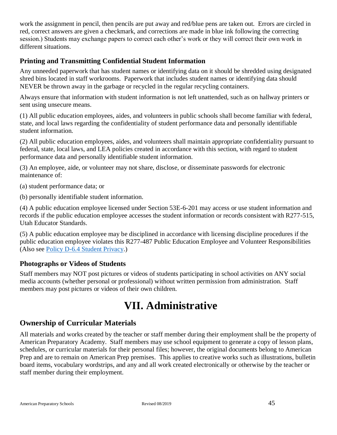work the assignment in pencil, then pencils are put away and red/blue pens are taken out. Errors are circled in red, correct answers are given a checkmark, and corrections are made in blue ink following the correcting session.) Students may exchange papers to correct each other's work or they will correct their own work in different situations.

#### <span id="page-44-0"></span>**Printing and Transmitting Confidential Student Information**

Any unneeded paperwork that has student names or identifying data on it should be shredded using designated shred bins located in staff workrooms. Paperwork that includes student names or identifying data should NEVER be thrown away in the garbage or recycled in the regular recycling containers.

Always ensure that information with student information is not left unattended, such as on hallway printers or sent using unsecure means.

(1) All public education employees, aides, and volunteers in public schools shall become familiar with federal, state, and local laws regarding the confidentiality of student performance data and personally identifiable student information.

(2) All public education employees, aides, and volunteers shall maintain appropriate confidentiality pursuant to federal, state, local laws, and LEA policies created in accordance with this section, with regard to student performance data and personally identifiable student information.

(3) An employee, aide, or volunteer may not share, disclose, or disseminate passwords for electronic maintenance of:

(a) student performance data; or

(b) personally identifiable student information.

(4) A public education employee licensed under Section 53E-6-201 may access or use student information and records if the public education employee accesses the student information or records consistent with R277-515, Utah Educator Standards.

(5) A public education employee may be disciplined in accordance with licensing discipline procedures if the public education employee violates this R277-487 Public Education Employee and Volunteer Responsibilities (Also see [Policy D-6.4 Student Privacy.](http://wiki.apaserver.org:8090/display/PM/CHAPTER+D+-+COMMUNICATION#CHAPTERD-COMMUNICATION-D-6.4STUDENTPRIVACY))

#### <span id="page-44-1"></span>**Photographs or Videos of Students**

Staff members may NOT post pictures or videos of students participating in school activities on ANY social media accounts (whether personal or professional) without written permission from administration. Staff members may post pictures or videos of their own children.

## **VII. Administrative**

## <span id="page-44-3"></span><span id="page-44-2"></span>**Ownership of Curricular Materials**

All materials and works created by the teacher or staff member during their employment shall be the property of American Preparatory Academy. Staff members may use school equipment to generate a copy of lesson plans, schedules, or curricular materials for their personal files; however, the original documents belong to American Prep and are to remain on American Prep premises. This applies to creative works such as illustrations, bulletin board items, vocabulary wordstrips, and any and all work created electronically or otherwise by the teacher or staff member during their employment.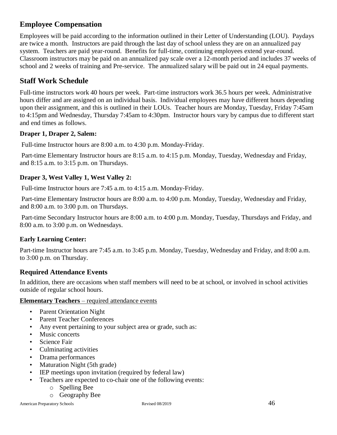### <span id="page-45-0"></span>**Employee Compensation**

Employees will be paid according to the information outlined in their Letter of Understanding (LOU). Paydays are twice a month. Instructors are paid through the last day of school unless they are on an annualized pay system. Teachers are paid year-round. Benefits for full-time, continuing employees extend year-round. Classroom instructors may be paid on an annualized pay scale over a 12-month period and includes 37 weeks of school and 2 weeks of training and Pre-service. The annualized salary will be paid out in 24 equal payments.

## <span id="page-45-1"></span>**Staff Work Schedule**

Full-time instructors work 40 hours per week. Part-time instructors work 36.5 hours per week. Administrative hours differ and are assigned on an individual basis. Individual employees may have different hours depending upon their assignment, and this is outlined in their LOUs. Teacher hours are Monday, Tuesday, Friday 7:45am to 4:15pm and Wednesday, Thursday 7:45am to 4:30pm. Instructor hours vary by campus due to different start and end times as follows.

#### **Draper 1, Draper 2, Salem:**

Full-time Instructor hours are 8:00 a.m. to 4:30 p.m. Monday-Friday.

Part-time Elementary Instructor hours are 8:15 a.m. to 4:15 p.m. Monday, Tuesday, Wednesday and Friday, and 8:15 a.m. to 3:15 p.m. on Thursdays.

#### **Draper 3, West Valley 1, West Valley 2:**

Full-time Instructor hours are 7:45 a.m. to 4:15 a.m. Monday-Friday.

Part-time Elementary Instructor hours are 8:00 a.m. to 4:00 p.m. Monday, Tuesday, Wednesday and Friday, and 8:00 a.m. to 3:00 p.m. on Thursdays.

Part-time Secondary Instructor hours are 8:00 a.m. to 4:00 p.m. Monday, Tuesday, Thursdays and Friday, and 8:00 a.m. to 3:00 p.m. on Wednesdays.

#### **Early Learning Center:**

Part-time Instructor hours are 7:45 a.m. to 3:45 p.m. Monday, Tuesday, Wednesday and Friday, and 8:00 a.m. to 3:00 p.m. on Thursday.

#### <span id="page-45-2"></span>**Required Attendance Events**

In addition, there are occasions when staff members will need to be at school, or involved in school activities outside of regular school hours.

#### **Elementary Teachers** – required attendance events

- Parent Orientation Night
- Parent Teacher Conferences
- Any event pertaining to your subject area or grade, such as:
- Music concerts
- Science Fair
- Culminating activities
- Drama performances
- Maturation Night (5th grade)
- IEP meetings upon invitation (required by federal law)
- Teachers are expected to co-chair one of the following events:
	- o Spelling Bee
	- o Geography Bee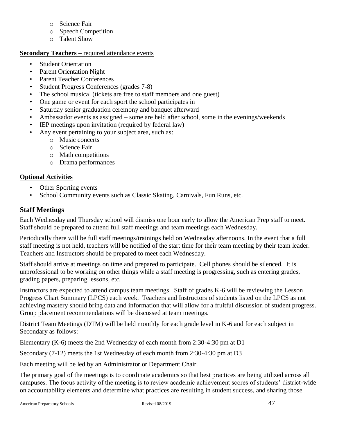- o Science Fair
- o Speech Competition
- o Talent Show

#### **Secondary Teachers** – required attendance events

- **Student Orientation**
- Parent Orientation Night
- Parent Teacher Conferences
- Student Progress Conferences (grades 7-8)
- The school musical (tickets are free to staff members and one guest)
- One game or event for each sport the school participates in
- Saturday senior graduation ceremony and banquet afterward
- Ambassador events as assigned some are held after school, some in the evenings/weekends
- IEP meetings upon invitation (required by federal law)
- Any event pertaining to your subject area, such as:
	- o Music concerts
	- o Science Fair
	- o Math competitions
	- o Drama performances

#### **Optional Activities**

- Other Sporting events
- School Community events such as Classic Skating, Carnivals, Fun Runs, etc.

#### <span id="page-46-0"></span>**Staff Meetings**

Each Wednesday and Thursday school will dismiss one hour early to allow the American Prep staff to meet. Staff should be prepared to attend full staff meetings and team meetings each Wednesday.

Periodically there will be full staff meetings/trainings held on Wednesday afternoons. In the event that a full staff meeting is not held, teachers will be notified of the start time for their team meeting by their team leader. Teachers and Instructors should be prepared to meet each Wednesday.

Staff should arrive at meetings on time and prepared to participate. Cell phones should be silenced. It is unprofessional to be working on other things while a staff meeting is progressing, such as entering grades, grading papers, preparing lessons, etc.

Instructors are expected to attend campus team meetings. Staff of grades K-6 will be reviewing the Lesson Progress Chart Summary (LPCS) each week. Teachers and Instructors of students listed on the LPCS as not achieving mastery should bring data and information that will allow for a fruitful discussion of student progress. Group placement recommendations will be discussed at team meetings.

District Team Meetings (DTM) will be held monthly for each grade level in K-6 and for each subject in Secondary as follows:

Elementary (K-6) meets the 2nd Wednesday of each month from 2:30-4:30 pm at D1

Secondary (7-12) meets the 1st Wednesday of each month from 2:30-4:30 pm at D3

Each meeting will be led by an Administrator or Department Chair.

The primary goal of the meetings is to coordinate academics so that best practices are being utilized across all campuses. The focus activity of the meeting is to review academic achievement scores of students' district-wide on accountability elements and determine what practices are resulting in student success, and sharing those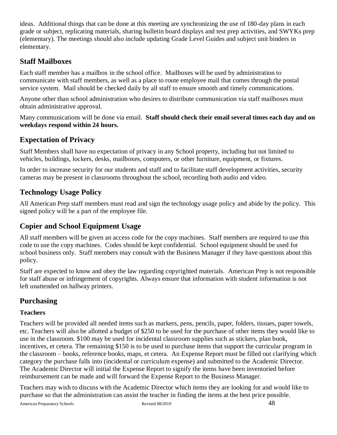ideas. Additional things that can be done at this meeting are synchronizing the use of 180-day plans in each grade or subject, replicating materials, sharing bulletin board displays and test prep activities, and SWYKs prep (elementary). The meetings should also include updating Grade Level Guides and subject unit binders in elementary.

## <span id="page-47-0"></span>**Staff Mailboxes**

Each staff member has a mailbox in the school office. Mailboxes will be used by administration to communicate with staff members, as well as a place to route employee mail that comes through the postal service system. Mail should be checked daily by all staff to ensure smooth and timely communications.

Anyone other than school administration who desires to distribute communication via staff mailboxes must obtain administrative approval.

Many communications will be done via email. **Staff should check their email several times each day and on weekdays respond within 24 hours.** 

## <span id="page-47-1"></span>**Expectation of Privacy**

Staff Members shall have no expectation of privacy in any School property, including but not limited to vehicles, buildings, lockers, desks, mailboxes, computers, or other furniture, equipment, or fixtures.

In order to increase security for our students and staff and to facilitate staff development activities, security cameras may be present in classrooms throughout the school, recording both audio and video.

## <span id="page-47-2"></span>**Technology Usage Policy**

All American Prep staff members must read and sign the technology usage policy and abide by the policy. This signed policy will be a part of the employee file.

## <span id="page-47-3"></span>**Copier and School Equipment Usage**

All staff members will be given an access code for the copy machines. Staff members are required to use this code to use the copy machines. Codes should be kept confidential. School equipment should be used for school business only. Staff members may consult with the Business Manager if they have questions about this policy.

Staff are expected to know and obey the law regarding copyrighted materials. American Prep is not responsible for staff abuse or infringement of copyrights. Always ensure that information with student information is not left unattended on hallway printers.

## <span id="page-47-4"></span>**Purchasing**

#### **Teachers**

Teachers will be provided all needed items such as markers, pens, pencils, paper, folders, tissues, paper towels, etc. Teachers will also be allotted a budget of \$250 to be used for the purchase of other items they would like to use in the classroom. \$100 may be used for incidental classroom supplies such as stickers, plan book, incentives, et cetera. The remaining \$150 is to be used to purchase items that support the curricular program in the classroom – books, reference books, maps, et cetera. An Expense Report must be filled out clarifying which category the purchase falls into (incidental or curriculum expense) and submitted to the Academic Director. The Academic Director will initial the Expense Report to signify the items have been inventoried before reimbursement can be made and will forward the Expense Report to the Business Manager.

Teachers may wish to discuss with the Academic Director which items they are looking for and would like to purchase so that the administration can assist the teacher in finding the items at the best price possible.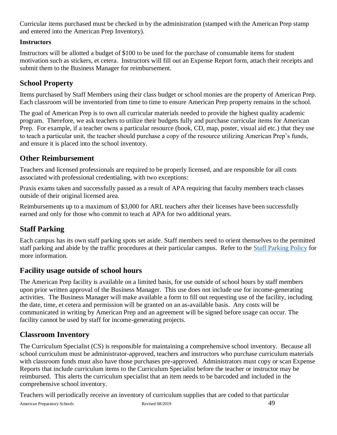Curricular items purchased must be checked in by the administration (stamped with the American Prep stamp and entered into the American Prep Inventory).

#### **Instructors**

Instructors will be allotted a budget of \$100 to be used for the purchase of consumable items for student motivation such as stickers, et cetera. Instructors will fill out an Expense Report form, attach their receipts and submit them to the Business Manager for reimbursement.

## <span id="page-48-0"></span>**School Property**

Items purchased by Staff Members using their class budget or school monies are the property of American Prep. Each classroom will be inventoried from time to time to ensure American Prep property remains in the school.

The goal of American Prep is to own all curricular materials needed to provide the highest quality academic program. Therefore, we ask teachers to utilize their budgets fully and purchase curricular items for American Prep. For example, if a teacher owns a particular resource (book, CD, map, poster, visual aid etc.) that they use to teach a particular unit, the teacher should purchase a copy of the resource utilizing American Prep's funds, and ensure it is placed into the school inventory.

## <span id="page-48-1"></span>**Other Reimbursement**

Teachers and licensed professionals are required to be properly licensed, and are responsible for all costs associated with professional credentialing, with two exceptions:

Praxis exams taken and successfully passed as a result of APA requiring that faculty members teach classes outside of their original licensed area.

Reimbursements up to a maximum of \$3,000 for ARL teachers after their licenses have been successfully earned and only for those who commit to teach at APA for two additional years.

## <span id="page-48-2"></span>**Staff Parking**

Each campus has its own staff parking spots set aside. Staff members need to orient themselves to the permitted staff parking and abide by the traffic procedures at their particular campus. Refer to the [Staff Parking Policy](http://wiki.apaserver.org:8090/display/PM/CHAPTER+C+-+HUMAN+RESOURCES#CHAPTERC-HUMANRESOURCES-C-7.0STAFFPARKING*) for more information.

## <span id="page-48-3"></span>**Facility usage outside of school hours**

The American Prep facility is available on a limited basis, for use outside of school hours by staff members upon prior written approval of the Business Manager. This use does not include use for income-generating activities. The Business Manager will make available a form to fill out requesting use of the facility, including the date, time, et cetera and permission will be granted on an as-available basis. Any costs will be communicated in writing by American Prep and an agreement will be signed before usage can occur. The facility cannot be used by staff for income-generating projects.

## <span id="page-48-4"></span>**Classroom Inventory**

The Curriculum Specialist (CS) is responsible for maintaining a comprehensive school inventory. Because all school curriculum must be administrator-approved, teachers and instructors who purchase curriculum materials with classroom funds must also have those purchases pre-approved. Administrators must copy or scan Expense Reports that include curriculum items to the Curriculum Specialist before the teacher or instructor may be reimbursed. This alerts the curriculum specialist that an item needs to be barcoded and included in the comprehensive school inventory.

Teachers will periodically receive an inventory of curriculum supplies that are coded to that particular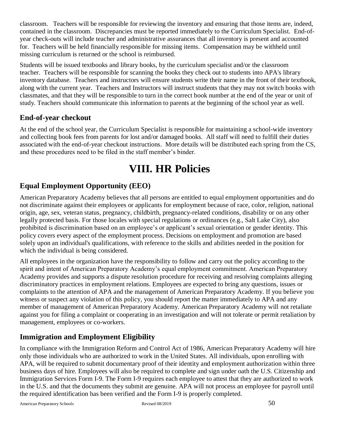classroom. Teachers will be responsible for reviewing the inventory and ensuring that those items are, indeed, contained in the classroom. Discrepancies must be reported immediately to the Curriculum Specialist. End-ofyear check-outs will include teacher and administrative assurances that all inventory is present and accounted for. Teachers will be held financially responsible for missing items. Compensation may be withheld until missing curriculum is returned or the school is reimbursed.

Students will be issued textbooks and library books, by the curriculum specialist and/or the classroom teacher. Teachers will be responsible for scanning the books they check out to students into APA's library inventory database. Teachers and instructors will ensure students write their name in the front of their textbook, along with the current year. Teachers and Instructors will instruct students that they may not switch books with classmates, and that they will be responsible to turn in the correct book number at the end of the year or unit of study. Teachers should communicate this information to parents at the beginning of the school year as well.

### <span id="page-49-0"></span>**End-of-year checkout**

At the end of the school year, the Curriculum Specialist is responsible for maintaining a school-wide inventory and collecting book fees from parents for lost and/or damaged books. All staff will need to fulfill their duties associated with the end-of-year checkout instructions. More details will be distributed each spring from the CS, and these procedures need to be filed in the staff member's binder.

## **VIII. HR Policies**

## <span id="page-49-2"></span><span id="page-49-1"></span>**Equal Employment Opportunity (EEO)**

American Preparatory Academy believes that all persons are entitled to equal employment opportunities and do not discriminate against their employees or applicants for employment because of race, color, religion, national origin, age, sex, veteran status, pregnancy, childbirth, pregnancy-related conditions, disability or on any other legally protected basis. For those locales with special regulations or ordinances (e.g., Salt Lake City), also prohibited is discrimination based on an employee's or applicant's sexual orientation or gender identity. This policy covers every aspect of the employment process. Decisions on employment and promotion are based solely upon an individual's qualifications, with reference to the skills and abilities needed in the position for which the individual is being considered.

All employees in the organization have the responsibility to follow and carry out the policy according to the spirit and intent of American Preparatory Academy's equal employment commitment. American Preparatory Academy provides and supports a dispute resolution procedure for receiving and resolving complaints alleging discriminatory practices in employment relations. Employees are expected to bring any questions, issues or complaints to the attention of APA and the management of American Preparatory Academy. If you believe you witness or suspect any violation of this policy, you should report the matter immediately to APA and any member of management of American Preparatory Academy. American Preparatory Academy will not retaliate against you for filing a complaint or cooperating in an investigation and will not tolerate or permit retaliation by management, employees or co-workers.

## <span id="page-49-3"></span>**Immigration and Employment Eligibility**

In compliance with the Immigration Reform and Control Act of 1986, American Preparatory Academy will hire only those individuals who are authorized to work in the United States. All individuals, upon enrolling with APA, will be required to submit documentary proof of their identity and employment authorization within three business days of hire. Employees will also be required to complete and sign under oath the U.S. Citizenship and Immigration Services Form I-9. The Form I-9 requires each employee to attest that they are authorized to work in the U.S. and that the documents they submit are genuine. APA will not process an employee for payroll until the required identification has been verified and the Form I-9 is properly completed.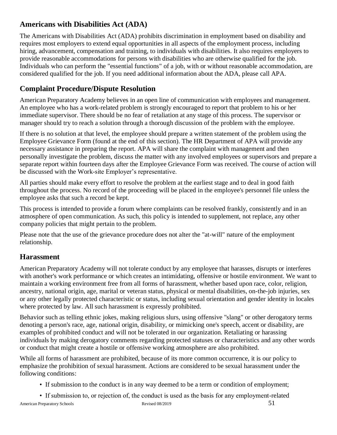## <span id="page-50-0"></span>**Americans with Disabilities Act (ADA)**

The Americans with Disabilities Act (ADA) prohibits discrimination in employment based on disability and requires most employers to extend equal opportunities in all aspects of the employment process, including hiring, advancement, compensation and training, to individuals with disabilities. It also requires employers to provide reasonable accommodations for persons with disabilities who are otherwise qualified for the job. Individuals who can perform the "essential functions" of a job, with or without reasonable accommodation, are considered qualified for the job. If you need additional information about the ADA, please call APA.

## <span id="page-50-1"></span>**Complaint Procedure/Dispute Resolution**

American Preparatory Academy believes in an open line of communication with employees and management. An employee who has a work-related problem is strongly encouraged to report that problem to his or her immediate supervisor. There should be no fear of retaliation at any stage of this process. The supervisor or manager should try to reach a solution through a thorough discussion of the problem with the employee.

If there is no solution at that level, the employee should prepare a written statement of the problem using the Employee Grievance Form (found at the end of this section). The HR Department of APA will provide any necessary assistance in preparing the report. APA will share the complaint with management and then personally investigate the problem, discuss the matter with any involved employees or supervisors and prepare a separate report within fourteen days after the Employee Grievance Form was received. The course of action will be discussed with the Work-site Employer's representative.

All parties should make every effort to resolve the problem at the earliest stage and to deal in good faith throughout the process. No record of the proceeding will be placed in the employee's personnel file unless the employee asks that such a record be kept.

This process is intended to provide a forum where complaints can be resolved frankly, consistently and in an atmosphere of open communication. As such, this policy is intended to supplement, not replace, any other company policies that might pertain to the problem.

Please note that the use of the grievance procedure does not alter the "at-will" nature of the employment relationship.

## <span id="page-50-2"></span>**Harassment**

American Preparatory Academy will not tolerate conduct by any employee that harasses, disrupts or interferes with another's work performance or which creates an intimidating, offensive or hostile environment. We want to maintain a working environment free from all forms of harassment, whether based upon race, color, religion, ancestry, national origin, age, marital or veteran status, physical or mental disabilities, on-the-job injuries, sex or any other legally protected characteristic or status, including sexual orientation and gender identity in locales where protected by law. All such harassment is expressly prohibited.

Behavior such as telling ethnic jokes, making religious slurs, using offensive "slang" or other derogatory terms denoting a person's race, age, national origin, disability, or mimicking one's speech, accent or disability, are examples of prohibited conduct and will not be tolerated in our organization. Retaliating or harassing individuals by making derogatory comments regarding protected statuses or characteristics and any other words or conduct that might create a hostile or offensive working atmosphere are also prohibited.

While all forms of harassment are prohibited, because of its more common occurrence, it is our policy to emphasize the prohibition of sexual harassment. Actions are considered to be sexual harassment under the following conditions:

- If submission to the conduct is in any way deemed to be a term or condition of employment;
- If submission to, or rejection of, the conduct is used as the basis for any employment-related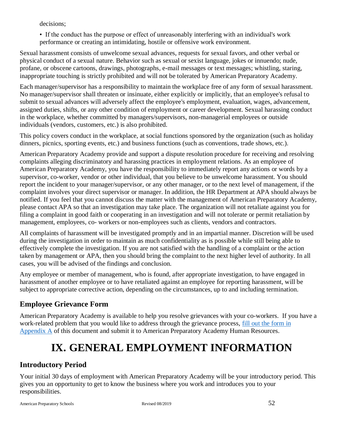decisions;

• If the conduct has the purpose or effect of unreasonably interfering with an individual's work performance or creating an intimidating, hostile or offensive work environment.

Sexual harassment consists of unwelcome sexual advances, requests for sexual favors, and other verbal or physical conduct of a sexual nature. Behavior such as sexual or sexist language, jokes or innuendo; nude, profane, or obscene cartoons, drawings, photographs, e-mail messages or text messages; whistling, staring, inappropriate touching is strictly prohibited and will not be tolerated by American Preparatory Academy.

Each manager/supervisor has a responsibility to maintain the workplace free of any form of sexual harassment. No manager/supervisor shall threaten or insinuate, either explicitly or implicitly, that an employee's refusal to submit to sexual advances will adversely affect the employee's employment, evaluation, wages, advancement, assigned duties, shifts, or any other condition of employment or career development. Sexual harassing conduct in the workplace, whether committed by managers/supervisors, non-managerial employees or outside individuals (vendors, customers, etc.) is also prohibited.

This policy covers conduct in the workplace, at social functions sponsored by the organization (such as holiday dinners, picnics, sporting events, etc.) and business functions (such as conventions, trade shows, etc.).

American Preparatory Academy provide and support a dispute resolution procedure for receiving and resolving complaints alleging discriminatory and harassing practices in employment relations. As an employee of American Preparatory Academy, you have the responsibility to immediately report any actions or words by a supervisor, co-worker, vendor or other individual, that you believe to be unwelcome harassment. You should report the incident to your manager/supervisor, or any other manager, or to the next level of management, if the complaint involves your direct supervisor or manager. In addition, the HR Department at APA should always be notified. If you feel that you cannot discuss the matter with the management of American Preparatory Academy, please contact APA so that an investigation may take place. The organization will not retaliate against you for filing a complaint in good faith or cooperating in an investigation and will not tolerate or permit retaliation by management, employees, co- workers or non-employees such as clients, vendors and contractors.

All complaints of harassment will be investigated promptly and in an impartial manner. Discretion will be used during the investigation in order to maintain as much confidentiality as is possible while still being able to effectively complete the investigation. If you are not satisfied with the handling of a complaint or the action taken by management or APA, then you should bring the complaint to the next higher level of authority. In all cases, you will be advised of the findings and conclusion.

Any employee or member of management, who is found, after appropriate investigation, to have engaged in harassment of another employee or to have retaliated against an employee for reporting harassment, will be subject to appropriate corrective action, depending on the circumstances, up to and including termination.

## <span id="page-51-0"></span>**Employee Grievance Form**

American Preparatory Academy is available to help you resolve grievances with your co-workers. If you have a work-related problem that you would like to address through the grievance process, [fill out the form](#page-67-0) in [Appendix A](#page-67-0) of this document and submit it to American Preparatory Academy Human Resources.

## **IX. GENERAL EMPLOYMENT INFORMATION**

## <span id="page-51-2"></span><span id="page-51-1"></span>**Introductory Period**

Your initial 30 days of employment with American Preparatory Academy will be your introductory period. This gives you an opportunity to get to know the business where you work and introduces you to your responsibilities.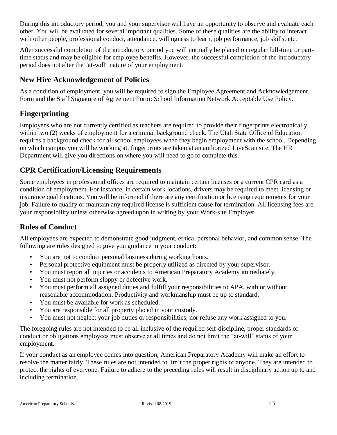During this introductory period, you and your supervisor will have an opportunity to observe and evaluate each other. You will be evaluated for several important qualities. Some of these qualities are the ability to interact with other people, professional conduct, attendance, willingness to learn, job performance, job skills, etc.

After successful completion of the introductory period you will normally be placed on regular full-time or parttime status and may be eligible for employee benefits. However, the successful completion of the introductory period does not alter the "at-will" nature of your employment.

## <span id="page-52-0"></span>**New Hire Acknowledgement of Policies**

As a condition of employment, you will be required to sign the Employee Agreement and Acknowledgement Form and the Staff Signature of Agreement Form: School Information Network Acceptable Use Policy.

## <span id="page-52-1"></span>**Fingerprinting**

Employees who are not currently certified as teachers are required to provide their fingerprints electronically within two (2) weeks of employment for a criminal background check. The Utah State Office of Education requires a background check for all school employees when they begin employment with the school. Depending on which campus you will be working at, fingerprints are taken at an authorized LiveScan site. The HR Department will give you directions on where you will need to go to complete this.

## <span id="page-52-2"></span>**CPR Certification/Licensing Requirements**

Some employees in professional offices are required to maintain certain licenses or a current CPR card as a condition of employment. For instance, in certain work locations, drivers may be required to meet licensing or insurance qualifications. You will be informed if there are any certification or licensing requirements for your job. Failure to qualify or maintain any required license is sufficient cause for termination. All licensing fees are your responsibility unless otherwise agreed upon in writing by your Work-site Employer.

## <span id="page-52-3"></span>**Rules of Conduct**

All employees are expected to demonstrate good judgment, ethical personal behavior, and common sense. The following are rules designed to give you guidance in your conduct:

- You are not to conduct personal business during working hours.
- Personal protective equipment must be properly utilized as directed by your supervisor.
- You must report all injuries or accidents to American Preparatory Academy immediately.
- You must not perform sloppy or defective work.
- You must perform all assigned duties and fulfill your responsibilities to APA, with or without reasonable accommodation. Productivity and workmanship must be up to standard.
- You must be available for work as scheduled.
- You are responsible for all property placed in your custody.
- You must not neglect your job duties or responsibilities, nor refuse any work assigned to you.

The foregoing rules are not intended to be all inclusive of the required self-discipline, proper standards of conduct or obligations employees must observe at all times and do not limit the "at-will" status of your employment.

If your conduct as an employee comes into question, American Preparatory Academy will make an effort to resolve the matter fairly. These rules are not intended to limit the proper rights of anyone. They are intended to protect the rights of everyone. Failure to adhere to the preceding rules will result in disciplinary action up to and including termination.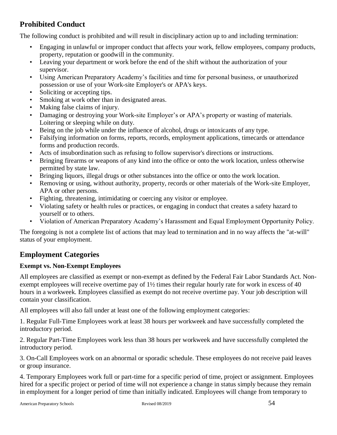## <span id="page-53-0"></span>**Prohibited Conduct**

The following conduct is prohibited and will result in disciplinary action up to and including termination:

- Engaging in unlawful or improper conduct that affects your work, fellow employees, company products, property, reputation or goodwill in the community.
- Leaving your department or work before the end of the shift without the authorization of your supervisor.
- Using American Preparatory Academy's facilities and time for personal business, or unauthorized possession or use of your Work-site Employer's or APA's keys.
- Soliciting or accepting tips.
- Smoking at work other than in designated areas.
- Making false claims of injury.
- Damaging or destroying your Work-site Employer's or APA's property or wasting of materials. Loitering or sleeping while on duty.
- Being on the job while under the influence of alcohol, drugs or intoxicants of any type.
- Falsifying information on forms, reports, records, employment applications, timecards or attendance forms and production records.
- Acts of insubordination such as refusing to follow supervisor's directions or instructions.
- Bringing firearms or weapons of any kind into the office or onto the work location, unless otherwise permitted by state law.
- Bringing liquors, illegal drugs or other substances into the office or onto the work location.
- Removing or using, without authority, property, records or other materials of the Work-site Employer, APA or other persons.
- Fighting, threatening, intimidating or coercing any visitor or employee.
- Violating safety or health rules or practices, or engaging in conduct that creates a safety hazard to yourself or to others.
- Violation of American Preparatory Academy's Harassment and Equal Employment Opportunity Policy.

The foregoing is not a complete list of actions that may lead to termination and in no way affects the "at-will" status of your employment.

## <span id="page-53-1"></span>**Employment Categories**

#### **Exempt vs. Non-Exempt Employees**

All employees are classified as exempt or non-exempt as defined by the Federal Fair Labor Standards Act. Nonexempt employees will receive overtime pay of 1½ times their regular hourly rate for work in excess of 40 hours in a workweek. Employees classified as exempt do not receive overtime pay. Your job description will contain your classification.

All employees will also fall under at least one of the following employment categories:

1. Regular Full-Time Employees work at least 38 hours per workweek and have successfully completed the introductory period.

2. Regular Part-Time Employees work less than 38 hours per workweek and have successfully completed the introductory period.

3. On-Call Employees work on an abnormal or sporadic schedule. These employees do not receive paid leaves or group insurance.

4. Temporary Employees work full or part-time for a specific period of time, project or assignment. Employees hired for a specific project or period of time will not experience a change in status simply because they remain in employment for a longer period of time than initially indicated. Employees will change from temporary to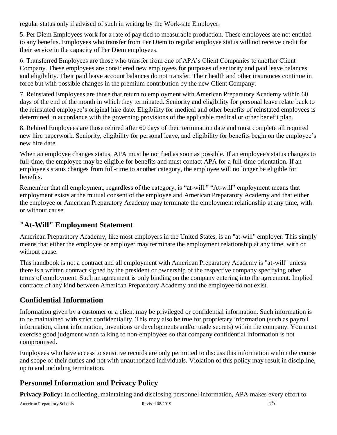regular status only if advised of such in writing by the Work-site Employer.

5. Per Diem Employees work for a rate of pay tied to measurable production. These employees are not entitled to any benefits. Employees who transfer from Per Diem to regular employee status will not receive credit for their service in the capacity of Per Diem employees.

6. Transferred Employees are those who transfer from one of APA's Client Companies to another Client Company. These employees are considered new employees for purposes of seniority and paid leave balances and eligibility. Their paid leave account balances do not transfer. Their health and other insurances continue in force but with possible changes in the premium contribution by the new Client Company.

7. Reinstated Employees are those that return to employment with American Preparatory Academy within 60 days of the end of the month in which they terminated. Seniority and eligibility for personal leave relate back to the reinstated employee's original hire date. Eligibility for medical and other benefits of reinstated employees is determined in accordance with the governing provisions of the applicable medical or other benefit plan.

8. Rehired Employees are those rehired after 60 days of their termination date and must complete all required new hire paperwork. Seniority, eligibility for personal leave, and eligibility for benefits begin on the employee's new hire date.

When an employee changes status, APA must be notified as soon as possible. If an employee's status changes to full-time, the employee may be eligible for benefits and must contact APA for a full-time orientation. If an employee's status changes from full-time to another category, the employee will no longer be eligible for benefits.

Remember that all employment, regardless of the category, is "at-will." "At-will" employment means that employment exists at the mutual consent of the employee and American Preparatory Academy and that either the employee or American Preparatory Academy may terminate the employment relationship at any time, with or without cause.

## <span id="page-54-0"></span>**"At-Will" Employment Statement**

American Preparatory Academy, like most employers in the United States, is an "at-will" employer. This simply means that either the employee or employer may terminate the employment relationship at any time, with or without cause.

This handbook is not a contract and all employment with American Preparatory Academy is "at-will" unless there is a written contract signed by the president or ownership of the respective company specifying other terms of employment. Such an agreement is only binding on the company entering into the agreement. Implied contracts of any kind between American Preparatory Academy and the employee do not exist.

## <span id="page-54-1"></span>**Confidential Information**

Information given by a customer or a client may be privileged or confidential information. Such information is to be maintained with strict confidentiality. This may also be true for proprietary information (such as payroll information, client information, inventions or developments and/or trade secrets) within the company. You must exercise good judgment when talking to non-employees so that company confidential information is not compromised.

Employees who have access to sensitive records are only permitted to discuss this information within the course and scope of their duties and not with unauthorized individuals. Violation of this policy may result in discipline, up to and including termination.

## <span id="page-54-2"></span>**Personnel Information and Privacy Policy**

**Privacy Policy:** In collecting, maintaining and disclosing personnel information, APA makes every effort to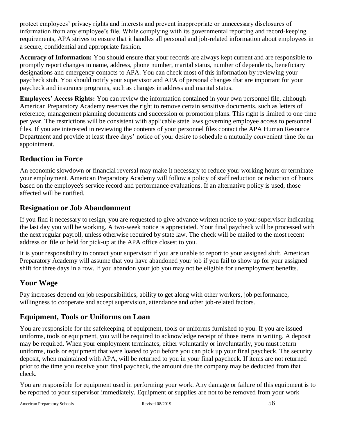protect employees' privacy rights and interests and prevent inappropriate or unnecessary disclosures of information from any employee's file. While complying with its governmental reporting and record-keeping requirements, APA strives to ensure that it handles all personal and job-related information about employees in a secure, confidential and appropriate fashion.

**Accuracy of Information:** You should ensure that your records are always kept current and are responsible to promptly report changes in name, address, phone number, marital status, number of dependents, beneficiary designations and emergency contacts to APA. You can check most of this information by reviewing your paycheck stub. You should notify your supervisor and APA of personal changes that are important for your paycheck and insurance programs, such as changes in address and marital status.

**Employees' Access Rights:** You can review the information contained in your own personnel file, although American Preparatory Academy reserves the right to remove certain sensitive documents, such as letters of reference, management planning documents and succession or promotion plans. This right is limited to one time per year. The restrictions will be consistent with applicable state laws governing employee access to personnel files. If you are interested in reviewing the contents of your personnel files contact the APA Human Resource Department and provide at least three days' notice of your desire to schedule a mutually convenient time for an appointment.

## <span id="page-55-0"></span>**Reduction in Force**

An economic slowdown or financial reversal may make it necessary to reduce your working hours or terminate your employment. American Preparatory Academy will follow a policy of staff reduction or reduction of hours based on the employee's service record and performance evaluations. If an alternative policy is used, those affected will be notified.

### <span id="page-55-1"></span>**Resignation or Job Abandonment**

If you find it necessary to resign, you are requested to give advance written notice to your supervisor indicating the last day you will be working. A two-week notice is appreciated. Your final paycheck will be processed with the next regular payroll, unless otherwise required by state law. The check will be mailed to the most recent address on file or held for pick-up at the APA office closest to you.

It is your responsibility to contact your supervisor if you are unable to report to your assigned shift. American Preparatory Academy will assume that you have abandoned your job if you fail to show up for your assigned shift for three days in a row. If you abandon your job you may not be eligible for unemployment benefits.

#### <span id="page-55-2"></span>**Your Wage**

Pay increases depend on job responsibilities, ability to get along with other workers, job performance, willingness to cooperate and accept supervision, attendance and other job-related factors.

## <span id="page-55-3"></span>**Equipment, Tools or Uniforms on Loan**

You are responsible for the safekeeping of equipment, tools or uniforms furnished to you. If you are issued uniforms, tools or equipment, you will be required to acknowledge receipt of those items in writing. A deposit may be required. When your employment terminates, either voluntarily or involuntarily, you must return uniforms, tools or equipment that were loaned to you before you can pick up your final paycheck. The security deposit, when maintained with APA, will be returned to you in your final paycheck. If items are not returned prior to the time you receive your final paycheck, the amount due the company may be deducted from that check.

You are responsible for equipment used in performing your work. Any damage or failure of this equipment is to be reported to your supervisor immediately. Equipment or supplies are not to be removed from your work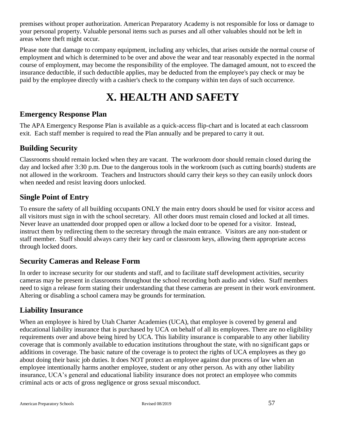premises without proper authorization. American Preparatory Academy is not responsible for loss or damage to your personal property. Valuable personal items such as purses and all other valuables should not be left in areas where theft might occur.

Please note that damage to company equipment, including any vehicles, that arises outside the normal course of employment and which is determined to be over and above the wear and tear reasonably expected in the normal course of employment, may become the responsibility of the employee. The damaged amount, not to exceed the insurance deductible, if such deductible applies, may be deducted from the employee's pay check or may be paid by the employee directly with a cashier's check to the company within ten days of such occurrence.

## **X. HEALTH AND SAFETY**

### <span id="page-56-1"></span><span id="page-56-0"></span>**Emergency Response Plan**

The APA Emergency Response Plan is available as a quick-access flip-chart and is located at each classroom exit. Each staff member is required to read the Plan annually and be prepared to carry it out.

## <span id="page-56-2"></span>**Building Security**

Classrooms should remain locked when they are vacant. The workroom door should remain closed during the day and locked after 3:30 p.m. Due to the dangerous tools in the workroom (such as cutting boards) students are not allowed in the workroom. Teachers and Instructors should carry their keys so they can easily unlock doors when needed and resist leaving doors unlocked.

## <span id="page-56-3"></span>**Single Point of Entry**

To ensure the safety of all building occupants ONLY the main entry doors should be used for visitor access and all visitors must sign in with the school secretary. All other doors must remain closed and locked at all times. Never leave an unattended door propped open or allow a locked door to be opened for a visitor. Instead, instruct them by redirecting them to the secretary through the main entrance. Visitors are any non-student or staff member. Staff should always carry their key card or classroom keys, allowing them appropriate access through locked doors.

#### <span id="page-56-4"></span>**Security Cameras and Release Form**

In order to increase security for our students and staff, and to facilitate staff development activities, security cameras may be present in classrooms throughout the school recording both audio and video. Staff members need to sign a release form stating their understanding that these cameras are present in their work environment. Altering or disabling a school camera may be grounds for termination.

## <span id="page-56-5"></span>**Liability Insurance**

When an employee is hired by Utah Charter Academies (UCA), that employee is covered by general and educational liability insurance that is purchased by UCA on behalf of all its employees. There are no eligibility requirements over and above being hired by UCA. This liability insurance is comparable to any other liability coverage that is commonly available to education institutions throughout the state, with no significant gaps or additions in coverage. The basic nature of the coverage is to protect the rights of UCA employees as they go about doing their basic job duties. It does NOT protect an employee against due process of law when an employee intentionally harms another employee, student or any other person. As with any other liability insurance, UCA's general and educational liability insurance does not protect an employee who commits criminal acts or acts of gross negligence or gross sexual misconduct.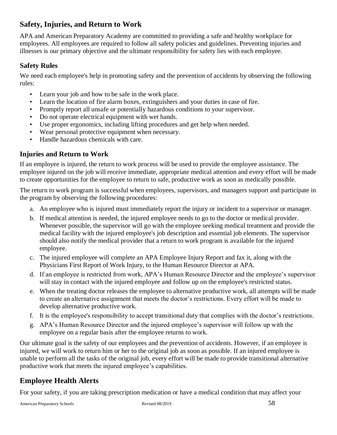## <span id="page-57-0"></span>**Safety, Injuries, and Return to Work**

APA and American Preparatory Academy are committed to providing a safe and healthy workplace for employees. All employees are required to follow all safety policies and guidelines. Preventing injuries and illnesses is our primary objective and the ultimate responsibility for safety lies with each employee.

#### <span id="page-57-1"></span>**Safety Rules**

We need each employee's help in promoting safety and the prevention of accidents by observing the following rules:

- Learn your job and how to be safe in the work place.
- Learn the location of fire alarm boxes, extinguishers and your duties in case of fire.
- Promptly report all unsafe or potentially hazardous conditions to your supervisor.
- Do not operate electrical equipment with wet hands.
- Use proper ergonomics, including lifting procedures and get help when needed.
- Wear personal protective equipment when necessary.
- Handle hazardous chemicals with care.

#### <span id="page-57-2"></span>**Injuries and Return to Work**

If an employee is injured, the return to work process will be used to provide the employee assistance. The employee injured on the job will receive immediate, appropriate medical attention and every effort will be made to create opportunities for the employee to return to safe, productive work as soon as medically possible.

The return to work program is successful when employees, supervisors, and managers support and participate in the program by observing the following procedures:

- a. An employee who is injured must immediately report the injury or incident to a supervisor or manager.
- b. If medical attention is needed, the injured employee needs to go to the doctor or medical provider. Whenever possible, the supervisor will go with the employee seeking medical treatment and provide the medical facility with the injured employee's job description and essential job elements. The supervisor should also notify the medical provider that a return to work program is available for the injured employee.
- c. The injured employee will complete an APA Employee Injury Report and fax it, along with the Physicians First Report of Work Injury, to the Human Resource Director at APA.
- d. If an employee is restricted from work, APA's Human Resource Director and the employee's supervisor will stay in contact with the injured employee and follow up on the employee's restricted status.
- e. When the treating doctor releases the employee to alternative productive work, all attempts will be made to create an alternative assignment that meets the doctor's restrictions. Every effort will be made to develop alternative productive work.
- f. It is the employee's responsibility to accept transitional duty that complies with the doctor's restrictions.
- g. APA's Human Resource Director and the injured employee's supervisor will follow up with the employee on a regular basis after the employee returns to work.

Our ultimate goal is the safety of our employees and the prevention of accidents. However, if an employee is injured, we will work to return him or her to the original job as soon as possible. If an injured employee is unable to perform all the tasks of the original job, every effort will be made to provide transitional alternative productive work that meets the injured employee's capabilities.

## <span id="page-57-3"></span>**Employee Health Alerts**

For your safety, if you are taking prescription medication or have a medical condition that may affect your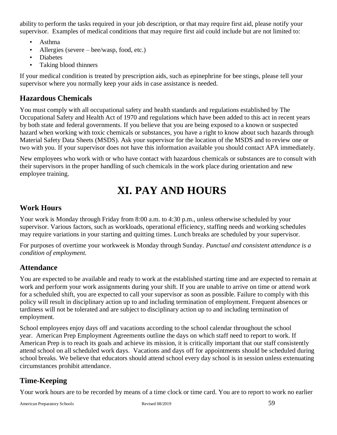ability to perform the tasks required in your job description, or that may require first aid, please notify your supervisor. Examples of medical conditions that may require first aid could include but are not limited to:

- Asthma
- Allergies (severe bee/wasp, food, etc.)
- Diabetes
- Taking blood thinners

If your medical condition is treated by prescription aids, such as epinephrine for bee stings, please tell your supervisor where you normally keep your aids in case assistance is needed.

#### <span id="page-58-0"></span>**Hazardous Chemicals**

You must comply with all occupational safety and health standards and regulations established by The Occupational Safety and Health Act of 1970 and regulations which have been added to this act in recent years by both state and federal governments. If you believe that you are being exposed to a known or suspected hazard when working with toxic chemicals or substances, you have a right to know about such hazards through Material Safety Data Sheets (MSDS). Ask your supervisor for the location of the MSDS and to review one or two with you. If your supervisor does not have this information available you should contact APA immediately.

New employees who work with or who have contact with hazardous chemicals or substances are to consult with their supervisors in the proper handling of such chemicals in the work place during orientation and new employee training.

## **XI. PAY AND HOURS**

#### <span id="page-58-2"></span><span id="page-58-1"></span>**Work Hours**

Your work is Monday through Friday from 8:00 a.m. to 4:30 p.m., unless otherwise scheduled by your supervisor. Various factors, such as workloads, operational efficiency, staffing needs and working schedules may require variations in your starting and quitting times. Lunch breaks are scheduled by your supervisor.

For purposes of overtime your workweek is Monday through Sunday. *Punctual and consistent attendance is a condition of employment.* 

#### <span id="page-58-3"></span>**Attendance**

You are expected to be available and ready to work at the established starting time and are expected to remain at work and perform your work assignments during your shift. If you are unable to arrive on time or attend work for a scheduled shift, you are expected to call your supervisor as soon as possible. Failure to comply with this policy will result in disciplinary action up to and including termination of employment. Frequent absences or tardiness will not be tolerated and are subject to disciplinary action up to and including termination of employment.

School employees enjoy days off and vacations according to the school calendar throughout the school year. American Prep Employment Agreements outline the days on which staff need to report to work. If American Prep is to reach its goals and achieve its mission, it is critically important that our staff consistently attend school on all scheduled work days. Vacations and days off for appointments should be scheduled during school breaks. We believe that educators should attend school every day school is in session unless extenuating circumstances prohibit attendance.

## <span id="page-58-4"></span>**Time-Keeping**

Your work hours are to be recorded by means of a time clock or time card. You are to report to work no earlier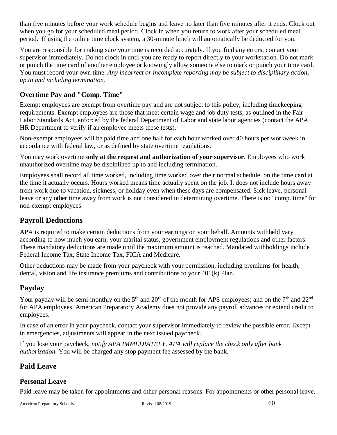than five minutes before your work schedule begins and leave no later than five minutes after it ends. Clock out when you go for your scheduled meal period. Clock in when you return to work after your scheduled meal period. If using the online time clock system, a 30-minute lunch will automatically be deducted for you.

You are responsible for making sure your time is recorded accurately. If you find any errors, contact your supervisor immediately. Do not clock in until you are ready to report directly to your workstation. Do not mark or punch the time card of another employee or knowingly allow someone else to mark or punch your time card. You must record your own time. *Any incorrect or incomplete reporting may be subject to disciplinary action, up to and including termination.*

#### <span id="page-59-0"></span>**Overtime Pay and "Comp. Time"**

Exempt employees are exempt from overtime pay and are not subject to this policy, including timekeeping requirements. Exempt employees are those that meet certain wage and job duty tests, as outlined in the Fair Labor Standards Act, enforced by the federal Department of Labor and state labor agencies (contact the APA HR Department to verify if an employee meets these tests).

Non-exempt employees will be paid time and one half for each hour worked over 40 hours per workweek in accordance with federal law, or as defined by state overtime regulations.

You may work overtime **only at the request and authorization of your supervisor**. Employees who work unauthorized overtime may be disciplined up to and including termination.

Employees shall record all time worked, including time worked over their normal schedule, on the time card at the time it actually occurs. Hours worked means time actually spent on the job. It does not include hours away from work due to vacation, sickness, or holiday even when these days are compensated. Sick leave, personal leave or any other time away from work is not considered in determining overtime. There is no "comp. time" for non-exempt employees.

## <span id="page-59-1"></span>**Payroll Deductions**

APA is required to make certain deductions from your earnings on your behalf. Amounts withheld vary according to how much you earn, your marital status, government employment regulations and other factors. These mandatory deductions are made until the maximum amount is reached. Mandated withholdings include Federal Income Tax, State Income Tax, FICA and Medicare.

Other deductions may be made from your paycheck with your permission, including premiums for health, dental, vision and life insurance premiums and contributions to your 401(k) Plan.

## <span id="page-59-2"></span>**Payday**

Your payday will be semi-monthly on the 5<sup>th</sup> and 20<sup>th</sup> of the month for APS employees; and on the 7<sup>th</sup> and 22<sup>nd</sup> for APA employees. American Preparatory Academy does not provide any payroll advances or extend credit to employees.

In case of an error in your paycheck, contact your supervisor immediately to review the possible error. Except in emergencies, adjustments will appear in the next issued paycheck.

If you lose your paycheck, *notify APA IMMEDIATELY*. *APA will replace the check only after bank authorization.* You will be charged any stop payment fee assessed by the bank.

## <span id="page-59-3"></span>**Paid Leave**

#### <span id="page-59-4"></span>**Personal Leave**

Paid leave may be taken for appointments and other personal reasons. For appointments or other personal leave,

American Preparatory Schools Revised 08/2019 Revised 08/2019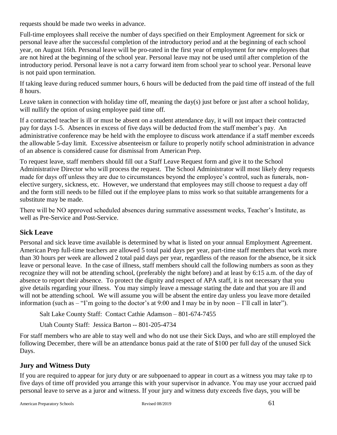requests should be made two weeks in advance.

Full-time employees shall receive the number of days specified on their Employment Agreement for sick or personal leave after the successful completion of the introductory period and at the beginning of each school year, on August 16th. Personal leave will be pro-rated in the first year of employment for new employees that are not hired at the beginning of the school year. Personal leave may not be used until after completion of the introductory period. Personal leave is not a carry forward item from school year to school year. Personal leave is not paid upon termination.

If taking leave during reduced summer hours, 6 hours will be deducted from the paid time off instead of the full 8 hours.

Leave taken in connection with holiday time off, meaning the day(s) just before or just after a school holiday, will nullify the option of using employee paid time off.

If a contracted teacher is ill or must be absent on a student attendance day, it will not impact their contracted pay for days 1-5. Absences in excess of five days will be deducted from the staff member's pay. An administrative conference may be held with the employee to discuss work attendance if a staff member exceeds the allowable 5-day limit. Excessive absenteeism or failure to properly notify school administration in advance of an absence is considered cause for dismissal from American Prep.

To request leave, staff members should fill out a Staff Leave Request form and give it to the School Administrative Director who will process the request. The School Administrator will most likely deny requests made for days off unless they are due to circumstances beyond the employee's control, such as funerals, nonelective surgery, sickness, etc. However, we understand that employees may still choose to request a day off and the form still needs to be filled out if the employee plans to miss work so that suitable arrangements for a substitute may be made.

There will be NO approved scheduled absences during summative assessment weeks, Teacher's Institute, as well as Pre-Service and Post-Service.

#### <span id="page-60-0"></span>**Sick Leave**

Personal and sick leave time available is determined by what is listed on your annual Employment Agreement. American Prep full-time teachers are allowed 5 total paid days per year, part-time staff members that work more than 30 hours per week are allowed 2 total paid days per year, regardless of the reason for the absence, be it sick leave or personal leave. In the case of illness, staff members should call the following numbers as soon as they recognize they will not be attending school, (preferably the night before) and at least by 6:15 a.m. of the day of absence to report their absence. To protect the dignity and respect of APA staff, it is not necessary that you give details regarding your illness. You may simply leave a message stating the date and that you are ill and will not be attending school. We will assume you will be absent the entire day unless you leave more detailed information (such as – "I'm going to the doctor's at 9:00 and I may be in by noon – I'll call in later").

Salt Lake County Staff: Contact Cathie Adamson – 801-674-7455

Utah County Staff: Jessica Barton -- 801-205-4734

For staff members who are able to stay well and who do not use their Sick Days, and who are still employed the following December, there will be an attendance bonus paid at the rate of \$100 per full day of the unused Sick Days.

#### <span id="page-60-1"></span>**Jury and Witness Duty**

If you are required to appear for jury duty or are subpoenaed to appear in court as a witness you may take rp to five days of time off provided you arrange this with your supervisor in advance. You may use your accrued paid personal leave to serve as a juror and witness. If your jury and witness duty exceeds five days, you will be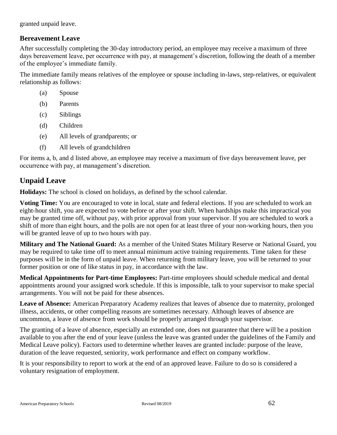granted unpaid leave.

#### <span id="page-61-0"></span>**Bereavement Leave**

After successfully completing the 30-day introductory period, an employee may receive a maximum of three days bereavement leave, per occurrence with pay, at management's discretion, following the death of a member of the employee's immediate family.

The immediate family means relatives of the employee or spouse including in-laws, step-relatives, or equivalent relationship as follows:

- (a) Spouse
- (b) Parents
- (c) Siblings
- (d) Children
- (e) All levels of grandparents; or
- (f) All levels of grandchildren

For items a, b, and d listed above, an employee may receive a maximum of five days bereavement leave, per occurrence with pay, at management's discretion.

### <span id="page-61-1"></span>**Unpaid Leave**

**Holidays:** The school is closed on holidays, as defined by the school calendar.

**Voting Time:** You are encouraged to vote in local, state and federal elections. If you are scheduled to work an eight-hour shift, you are expected to vote before or after your shift. When hardships make this impractical you may be granted time off, without pay, with prior approval from your supervisor. If you are scheduled to work a shift of more than eight hours, and the polls are not open for at least three of your non-working hours, then you will be granted leave of up to two hours with pay.

**Military and The National Guard:** As a member of the United States Military Reserve or National Guard, you may be required to take time off to meet annual minimum active training requirements. Time taken for these purposes will be in the form of unpaid leave. When returning from military leave, you will be returned to your former position or one of like status in pay, in accordance with the law.

**Medical Appointments for Part-time Employees:** Part-time employees should schedule medical and dental appointments around your assigned work schedule. If this is impossible, talk to your supervisor to make special arrangements. You will not be paid for these absences.

**Leave of Absence:** American Preparatory Academy realizes that leaves of absence due to maternity, prolonged illness, accidents, or other compelling reasons are sometimes necessary. Although leaves of absence are uncommon, a leave of absence from work should be properly arranged through your supervisor.

The granting of a leave of absence, especially an extended one, does not guarantee that there will be a position available to you after the end of your leave (unless the leave was granted under the guidelines of the Family and Medical Leave policy). Factors used to determine whether leaves are granted include: purpose of the leave, duration of the leave requested, seniority, work performance and effect on company workflow.

It is your responsibility to report to work at the end of an approved leave. Failure to do so is considered a voluntary resignation of employment.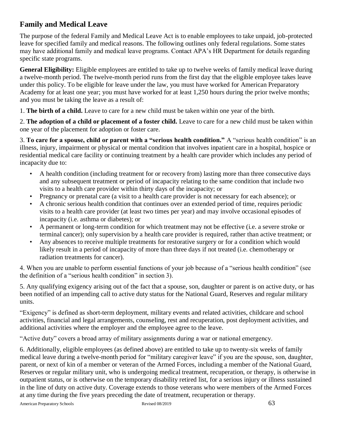## <span id="page-62-0"></span>**Family and Medical Leave**

The purpose of the federal Family and Medical Leave Act is to enable employees to take unpaid, job-protected leave for specified family and medical reasons. The following outlines only federal regulations. Some states may have additional family and medical leave programs. Contact APA's HR Department for details regarding specific state programs.

**General Eligibility:** Eligible employees are entitled to take up to twelve weeks of family medical leave during a twelve-month period. The twelve-month period runs from the first day that the eligible employee takes leave under this policy. To be eligible for leave under the law, you must have worked for American Preparatory Academy for at least one year; you must have worked for at least 1,250 hours during the prior twelve months; and you must be taking the leave as a result of:

1. **The birth of a child.** Leave to care for a new child must be taken within one year of the birth.

2. **The adoption of a child or placement of a foster child.** Leave to care for a new child must be taken within one year of the placement for adoption or foster care.

3. **To care for a spouse, child or parent with a "serious health condition."** A "serious health condition" is an illness, injury, impairment or physical or mental condition that involves inpatient care in a hospital, hospice or residential medical care facility or continuing treatment by a health care provider which includes any period of incapacity due to:

- A health condition (including treatment for or recovery from) lasting more than three consecutive days and any subsequent treatment or period of incapacity relating to the same condition that include two visits to a health care provider within thirty days of the incapacity; or
- Pregnancy or prenatal care (a visit to a health care provider is not necessary for each absence); or
- A chronic serious health condition that continues over an extended period of time, requires periodic visits to a health care provider (at least two times per year) and may involve occasional episodes of incapacity (i.e. asthma or diabetes); or
- A permanent or long-term condition for which treatment may not be effective (i.e. a severe stroke or terminal cancer); only supervision by a health care provider is required, rather than active treatment; or
- Any absences to receive multiple treatments for restorative surgery or for a condition which would likely result in a period of incapacity of more than three days if not treated (i.e. chemotherapy or radiation treatments for cancer).

4. When you are unable to perform essential functions of your job because of a "serious health condition" (see the definition of a "serious health condition" in section 3).

5. Any qualifying exigency arising out of the fact that a spouse, son, daughter or parent is on active duty, or has been notified of an impending call to active duty status for the National Guard, Reserves and regular military units.

"Exigency" is defined as short-term deployment, military events and related activities, childcare and school activities, financial and legal arrangements, counseling, rest and recuperation, post deployment activities, and additional activities where the employer and the employee agree to the leave.

"Active duty" covers a broad array of military assignments during a war or national emergency.

6. Additionally, eligible employees (as defined above) are entitled to take up to twenty-six weeks of family medical leave during a twelve-month period for "military caregiver leave" if you are the spouse, son, daughter, parent, or next of kin of a member or veteran of the Armed Forces, including a member of the National Guard, Reserves or regular military unit, who is undergoing medical treatment, recuperation, or therapy, is otherwise in outpatient status, or is otherwise on the temporary disability retired list, for a serious injury or illness sustained in the line of duty on active duty. Coverage extends to those veterans who were members of the Armed Forces at any time during the five years preceding the date of treatment, recuperation or therapy.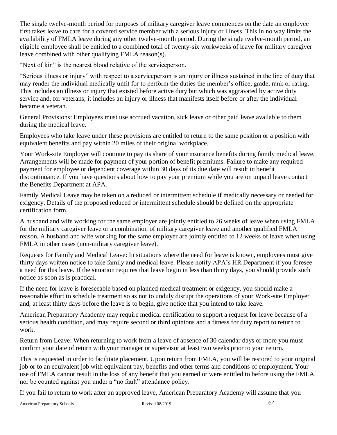The single twelve-month period for purposes of military caregiver leave commences on the date an employee first takes leave to care for a covered service member with a serious injury or illness. This in no way limits the availability of FMLA leave during any other twelve-month period. During the single twelve-month period, an eligible employee shall be entitled to a combined total of twenty-six workweeks of leave for military caregiver leave combined with other qualifying FMLA reason(s).

"Next of kin" is the nearest blood relative of the serviceperson.

"Serious illness or injury" with respect to a serviceperson is an injury or illness sustained in the line of duty that may render the individual medically unfit for to perform the duties the member's office, grade, rank or rating. This includes an illness or injury that existed before active duty but which was aggravated by active duty service and, for veterans, it includes an injury or illness that manifests itself before or after the individual became a veteran.

General Provisions: Employees must use accrued vacation, sick leave or other paid leave available to them during the medical leave.

Employees who take leave under these provisions are entitled to return to the same position or a position with equivalent benefits and pay within 20 miles of their original workplace.

Your Work-site Employer will continue to pay its share of your insurance benefits during family medical leave. Arrangements will be made for payment of your portion of benefit premiums. Failure to make any required payment for employee or dependent coverage within 30 days of its due date will result in benefit discontinuance. If you have questions about how to pay your premium while you are on unpaid leave contact the Benefits Department at APA.

Family Medical Leave may be taken on a reduced or intermittent schedule if medically necessary or needed for exigency. Details of the proposed reduced or intermittent schedule should be defined on the appropriate certification form.

A husband and wife working for the same employer are jointly entitled to 26 weeks of leave when using FMLA for the military caregiver leave or a combination of military caregiver leave and another qualified FMLA reason. A husband and wife working for the same employer are jointly entitled to 12 weeks of leave when using FMLA in other cases (non-military caregiver leave).

Requests for Family and Medical Leave: In situations where the need for leave is known, employees must give thirty days written notice to take family and medical leave. Please notify APA's HR Department if you foresee a need for this leave. If the situation requires that leave begin in less than thirty days, you should provide such notice as soon as is practical.

If the need for leave is foreseeable based on planned medical treatment or exigency, you should make a reasonable effort to schedule treatment so as not to unduly disrupt the operations of your Work-site Employer and, at least thirty days before the leave is to begin, give notice that you intend to take leave.

American Preparatory Academy may require medical certification to support a request for leave because of a serious health condition, and may require second or third opinions and a fitness for duty report to return to work.

Return from Leave: When returning to work from a leave of absence of 30 calendar days or more you must confirm your date of return with your manager or supervisor at least two weeks prior to your return.

This is requested in order to facilitate placement. Upon return from FMLA, you will be restored to your original job or to an equivalent job with equivalent pay, benefits and other terms and conditions of employment. Your use of FMLA cannot result in the loss of any benefit that you earned or were entitled to before using the FMLA, nor be counted against you under a "no fault" attendance policy.

If you fail to return to work after an approved leave, American Preparatory Academy will assume that you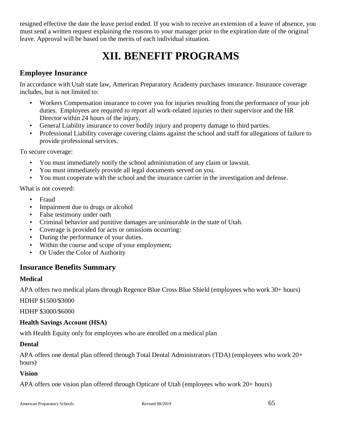resigned effective the date the leave period ended. If you wish to receive an extension of a leave of absence, you must send a written request explaining the reasons to your manager prior to the expiration date of the original leave. Approval will be based on the merits of each individual situation.

## **XII. BENEFIT PROGRAMS**

#### <span id="page-64-1"></span><span id="page-64-0"></span>**Employee Insurance**

In accordance with Utah state law, American Preparatory Academy purchases insurance. Insurance coverage includes, but is not limited to:

- Workers Compensation insurance to cover you for injuries resulting from the performance of your job duties. Employees are required to report all work-related injuries to their supervisor and the HR Director within 24 hours of the injury.
- General Liability insurance to cover bodily injury and property damage to third parties.
- Professional Liability coverage covering claims against the school and staff for allegations of failure to provide professional services.

To secure coverage:

- You must immediately notify the school administration of any claim or lawsuit.
- You must immediately provide all legal documents served on you.
- You must cooperate with the school and the insurance carrier in the investigation and defense.

What is not covered:

- Fraud
- Impairment due to drugs or alcohol
- False testimony under oath
- Criminal behavior and punitive damages are uninsurable in the state of Utah.
- Coverage is provided for acts or omissions occurring:
- During the performance of your duties.
- Within the course and scope of your employment;
- Or Under the Color of Authority

#### <span id="page-64-2"></span>**Insurance Benefits Summary**

#### **Medical**

APA offers two medical plans through Regence Blue Cross Blue Shield (employees who work 30+ hours)

HDHP \$1500/\$3000

HDHP \$3000/\$6000

#### **Health Savings Account (HSA)**

with Health Equity only for employees who are enrolled on a medical plan

#### **Dental**

APA offers one dental plan offered through Total Dental Administrators (TDA) (employees who work 20+ hours)

#### **Vision**

APA offers one vision plan offered through Opticare of Utah (employees who work 20+ hours)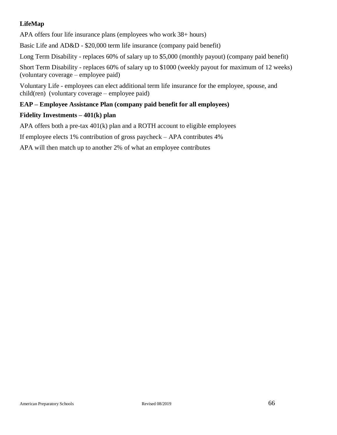#### **LifeMap**

APA offers four life insurance plans (employees who work 38+ hours)

Basic Life and AD&D - \$20,000 term life insurance (company paid benefit)

Long Term Disability - replaces 60% of salary up to \$5,000 (monthly payout) (company paid benefit)

Short Term Disability - replaces 60% of salary up to \$1000 (weekly payout for maximum of 12 weeks) (voluntary coverage – employee paid)

Voluntary Life - employees can elect additional term life insurance for the employee, spouse, and child(ren) (voluntary coverage – employee paid)

#### **EAP – Employee Assistance Plan (company paid benefit for all employees)**

#### **Fidelity Investments – 401(k) plan**

APA offers both a pre-tax 401(k) plan and a ROTH account to eligible employees

If employee elects 1% contribution of gross paycheck – APA contributes 4%

APA will then match up to another 2% of what an employee contributes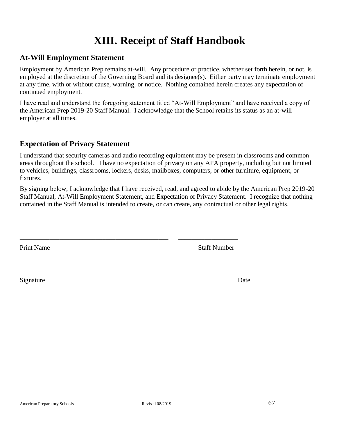## **XIII. Receipt of Staff Handbook**

#### <span id="page-66-1"></span><span id="page-66-0"></span>**At-Will Employment Statement**

Employment by American Prep remains at-will. Any procedure or practice, whether set forth herein, or not, is employed at the discretion of the Governing Board and its designee(s). Either party may terminate employment at any time, with or without cause, warning, or notice. Nothing contained herein creates any expectation of continued employment.

I have read and understand the foregoing statement titled "At-Will Employment" and have received a copy of the American Prep 2019-20 Staff Manual. I acknowledge that the School retains its status as an at-will employer at all times.

#### <span id="page-66-2"></span>**Expectation of Privacy Statement**

I understand that security cameras and audio recording equipment may be present in classrooms and common areas throughout the school. I have no expectation of privacy on any APA property, including but not limited to vehicles, buildings, classrooms, lockers, desks, mailboxes, computers, or other furniture, equipment, or fixtures.

By signing below, I acknowledge that I have received, read, and agreed to abide by the American Prep 2019-20 Staff Manual, At-Will Employment Statement, and Expectation of Privacy Statement. I recognize that nothing contained in the Staff Manual is intended to create, or can create, any contractual or other legal rights.

\_\_\_\_\_\_\_\_\_\_\_\_\_\_\_\_\_\_\_\_\_\_\_\_\_\_\_\_\_\_\_\_\_\_\_\_\_\_\_\_\_\_\_\_\_ \_\_\_\_\_\_\_\_\_\_\_\_\_\_\_\_\_\_

\_\_\_\_\_\_\_\_\_\_\_\_\_\_\_\_\_\_\_\_\_\_\_\_\_\_\_\_\_\_\_\_\_\_\_\_\_\_\_\_\_\_\_\_\_ \_\_\_\_\_\_\_\_\_\_\_\_\_\_\_\_\_\_

Print Name Staff Number

Signature Date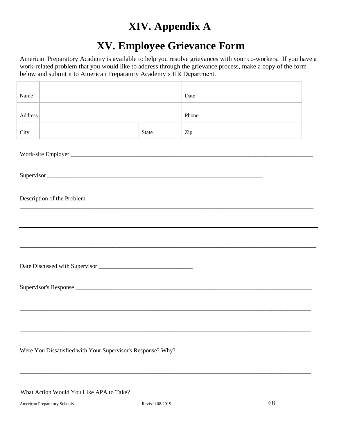## **XIV. Appendix A**

## **XV. Employee Grievance Form**

<span id="page-67-1"></span><span id="page-67-0"></span>American Preparatory Academy is available to help you resolve grievances with your co-workers. If you have a work-related problem that you would like to address through the grievance process, make a copy of the form below and submit it to American Preparatory Academy's HR Department.

| Name       |                            |       | Date  |  |  |  |
|------------|----------------------------|-------|-------|--|--|--|
| Address    |                            |       | Phone |  |  |  |
| City       |                            | State | Zip   |  |  |  |
|            |                            |       |       |  |  |  |
| Supervisor |                            |       |       |  |  |  |
|            | Description of the Problem |       |       |  |  |  |
|            |                            |       |       |  |  |  |
|            |                            |       |       |  |  |  |
|            |                            |       |       |  |  |  |
|            |                            |       |       |  |  |  |
|            |                            |       |       |  |  |  |
|            |                            |       |       |  |  |  |

Were You Dissatisfied with Your Supervisor's Response? Why?

What Action Would You Like APA to Take?

\_\_\_\_\_\_\_\_\_\_\_\_\_\_\_\_\_\_\_\_\_\_\_\_\_\_\_\_\_\_\_\_\_\_\_\_\_\_\_\_\_\_\_\_\_\_\_\_\_\_\_\_\_\_\_\_\_\_\_\_\_\_\_\_\_\_\_\_\_\_\_\_\_\_\_\_\_\_\_\_\_\_\_\_\_\_\_\_\_\_\_\_\_\_\_\_